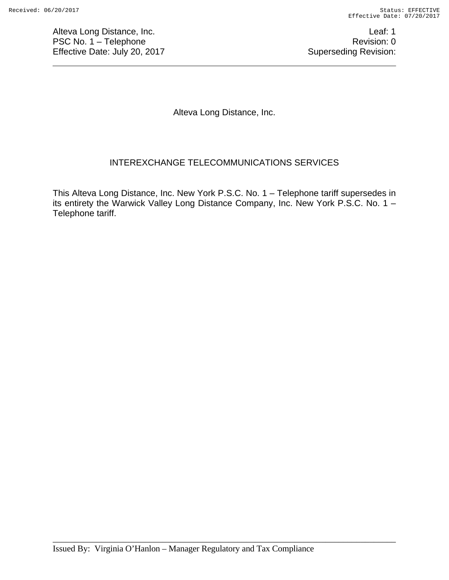Alteva Long Distance, Inc. **Leaf: 1** PSC No. 1 – Telephone Revision: 0 Effective Date: July 20, 2017 **Superseding Revision:** Superseding Revision:

Alteva Long Distance, Inc.

# INTEREXCHANGE TELECOMMUNICATIONS SERVICES

This Alteva Long Distance, Inc. New York P.S.C. No. 1 – Telephone tariff supersedes in its entirety the Warwick Valley Long Distance Company, Inc. New York P.S.C. No. 1 – Telephone tariff.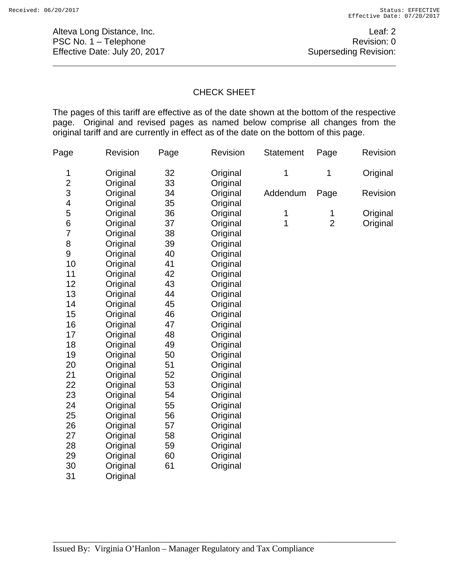Alteva Long Distance, Inc. **Leaf: 2** PSC No. 1 – Telephone Revision: 0 Effective Date: July 20, 2017 **Superseding Revision:** Superseding Revision:

## CHECK SHEET

The pages of this tariff are effective as of the date shown at the bottom of the respective page. Original and revised pages as named below comprise all changes from the original tariff and are currently in effect as of the date on the bottom of this page.

| Page           | Revision | Page | Revision | <b>Statement</b> | Revision<br>Page |          |  |
|----------------|----------|------|----------|------------------|------------------|----------|--|
| 1              | Original | 32   | Original | 1                | 1                | Original |  |
| $\overline{2}$ | Original | 33   | Original |                  |                  |          |  |
| 3              | Original | 34   | Original | Addendum         | Page             | Revision |  |
| 4              | Original | 35   | Original |                  |                  |          |  |
| 5              | Original | 36   | Original | 1                | 1                | Original |  |
| 6              | Original | 37   | Original | 1                | $\overline{2}$   | Original |  |
| 7              | Original | 38   | Original |                  |                  |          |  |
| 8              | Original | 39   | Original |                  |                  |          |  |
| 9              | Original | 40   | Original |                  |                  |          |  |
| 10             | Original | 41   | Original |                  |                  |          |  |
| 11             | Original | 42   | Original |                  |                  |          |  |
| 12             | Original | 43   | Original |                  |                  |          |  |
| 13             | Original | 44   | Original |                  |                  |          |  |
| 14             | Original | 45   | Original |                  |                  |          |  |
| 15             | Original | 46   | Original |                  |                  |          |  |
| 16             | Original | 47   | Original |                  |                  |          |  |
| 17             | Original | 48   | Original |                  |                  |          |  |
| 18             | Original | 49   | Original |                  |                  |          |  |
| 19             | Original | 50   | Original |                  |                  |          |  |
| 20             | Original | 51   | Original |                  |                  |          |  |
| 21             | Original | 52   | Original |                  |                  |          |  |
| 22             | Original | 53   | Original |                  |                  |          |  |
| 23             | Original | 54   | Original |                  |                  |          |  |
| 24             | Original | 55   | Original |                  |                  |          |  |
| 25             | Original | 56   | Original |                  |                  |          |  |
| 26             | Original | 57   | Original |                  |                  |          |  |
| 27             | Original | 58   | Original |                  |                  |          |  |
| 28             | Original | 59   | Original |                  |                  |          |  |
| 29             | Original | 60   | Original |                  |                  |          |  |
| 30             | Original | 61   | Original |                  |                  |          |  |
| 31             | Original |      |          |                  |                  |          |  |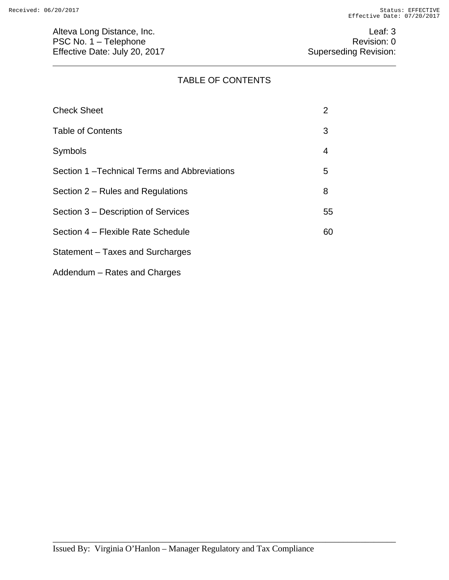# TABLE OF CONTENTS

| <b>Check Sheet</b>                          | 2  |
|---------------------------------------------|----|
| <b>Table of Contents</b>                    | 3  |
| <b>Symbols</b>                              | 4  |
| Section 1-Technical Terms and Abbreviations | 5  |
| Section 2 – Rules and Regulations           | 8  |
| Section 3 – Description of Services         | 55 |
| Section 4 – Flexible Rate Schedule          | 60 |
| Statement – Taxes and Surcharges            |    |

Addendum – Rates and Charges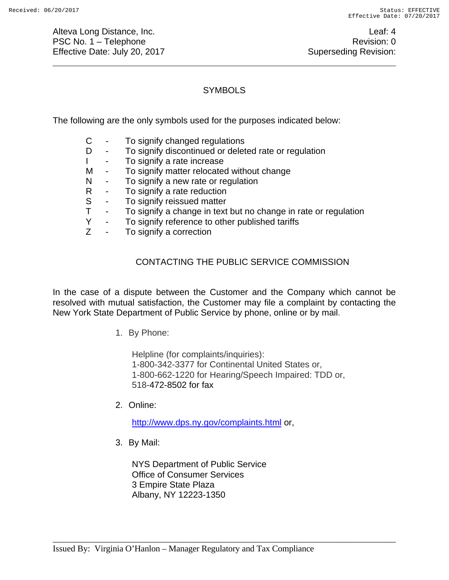Alteva Long Distance, Inc. **Leaf: 4** PSC No. 1 – Telephone Revision: 0 Effective Date: July 20, 2017 **Superseding Revision:** Superseding Revision:

# **SYMBOLS**

The following are the only symbols used for the purposes indicated below:

- C To signify changed regulations
- D To signify discontinued or deleted rate or regulation
- I To signify a rate increase
- M To signify matter relocated without change
- N To signify a new rate or regulation
- R To signify a rate reduction
- S To signify reissued matter
- T To signify a change in text but no change in rate or regulation
- Y To signify reference to other published tariffs<br>Z To signify a correction
- To signify a correction

# CONTACTING THE PUBLIC SERVICE COMMISSION

In the case of a dispute between the Customer and the Company which cannot be resolved with mutual satisfaction, the Customer may file a complaint by contacting the New York State Department of Public Service by phone, online or by mail.

1. By Phone:

Helpline (for complaints/inquiries): 1-800-342-3377 for Continental United States or, 1-800-662-1220 for Hearing/Speech Impaired: TDD or, 518-472-8502 for fax

2. Online:

http://www.dps.ny.gov/complaints.html or,

\_\_\_\_\_\_\_\_\_\_\_\_\_\_\_\_\_\_\_\_\_\_\_\_\_\_\_\_\_\_\_\_\_\_\_\_\_\_\_\_\_\_\_\_\_\_\_\_\_\_\_\_\_\_\_\_\_\_\_\_\_\_\_\_\_\_\_\_\_\_\_\_\_\_\_\_\_\_

3. By Mail:

NYS Department of Public Service Office of Consumer Services 3 Empire State Plaza Albany, NY 12223-1350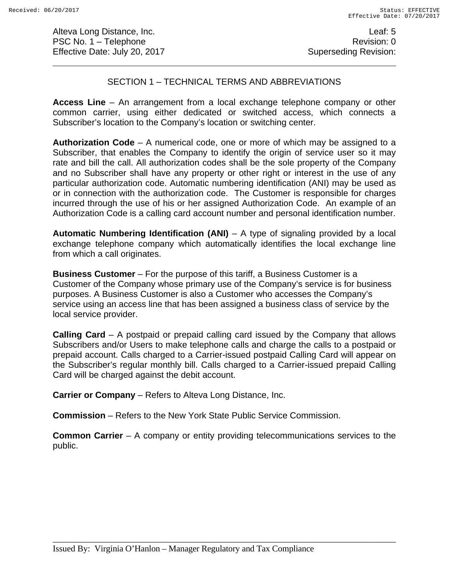Alteva Long Distance, Inc. **Leaf: 5** PSC No. 1 – Telephone Revision: 0 Effective Date: July 20, 2017 **Superseding Revision:** Superseding Revision:

## SECTION 1 – TECHNICAL TERMS AND ABBREVIATIONS

**Access Line** – An arrangement from a local exchange telephone company or other common carrier, using either dedicated or switched access, which connects a Subscriber's location to the Company's location or switching center.

**Authorization Code** – A numerical code, one or more of which may be assigned to a Subscriber, that enables the Company to identify the origin of service user so it may rate and bill the call. All authorization codes shall be the sole property of the Company and no Subscriber shall have any property or other right or interest in the use of any particular authorization code. Automatic numbering identification (ANI) may be used as or in connection with the authorization code. The Customer is responsible for charges incurred through the use of his or her assigned Authorization Code. An example of an Authorization Code is a calling card account number and personal identification number.

**Automatic Numbering Identification (ANI)** – A type of signaling provided by a local exchange telephone company which automatically identifies the local exchange line from which a call originates.

**Business Customer** – For the purpose of this tariff, a Business Customer is a Customer of the Company whose primary use of the Company's service is for business purposes. A Business Customer is also a Customer who accesses the Company's service using an access line that has been assigned a business class of service by the local service provider.

**Calling Card** – A postpaid or prepaid calling card issued by the Company that allows Subscribers and/or Users to make telephone calls and charge the calls to a postpaid or prepaid account. Calls charged to a Carrier-issued postpaid Calling Card will appear on the Subscriber's regular monthly bill. Calls charged to a Carrier-issued prepaid Calling Card will be charged against the debit account.

**Carrier or Company** – Refers to Alteva Long Distance, Inc.

**Commission** – Refers to the New York State Public Service Commission.

**Common Carrier** – A company or entity providing telecommunications services to the public.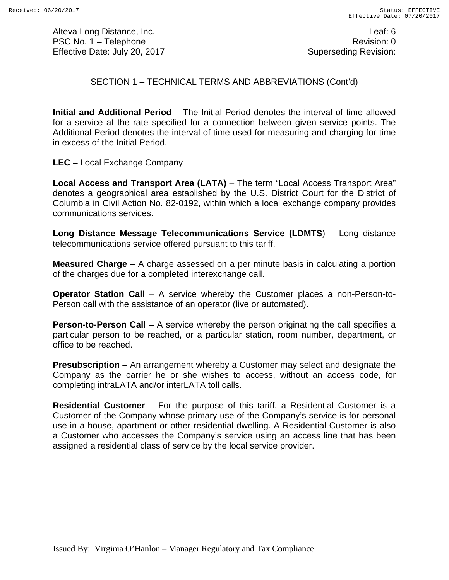Alteva Long Distance, Inc. **Leaf: 6** PSC No. 1 – Telephone Revision: 0 Effective Date: July 20, 2017 **Superseding Revision:** Superseding Revision:

# SECTION 1 – TECHNICAL TERMS AND ABBREVIATIONS (Cont'd)

**Initial and Additional Period** – The Initial Period denotes the interval of time allowed for a service at the rate specified for a connection between given service points. The Additional Period denotes the interval of time used for measuring and charging for time in excess of the Initial Period.

**LEC** – Local Exchange Company

**Local Access and Transport Area (LATA)** – The term "Local Access Transport Area" denotes a geographical area established by the U.S. District Court for the District of Columbia in Civil Action No. 82-0192, within which a local exchange company provides communications services.

**Long Distance Message Telecommunications Service (LDMTS**) – Long distance telecommunications service offered pursuant to this tariff.

**Measured Charge** – A charge assessed on a per minute basis in calculating a portion of the charges due for a completed interexchange call.

**Operator Station Call** – A service whereby the Customer places a non-Person-to-Person call with the assistance of an operator (live or automated).

**Person-to-Person Call** – A service whereby the person originating the call specifies a particular person to be reached, or a particular station, room number, department, or office to be reached.

**Presubscription** – An arrangement whereby a Customer may select and designate the Company as the carrier he or she wishes to access, without an access code, for completing intraLATA and/or interLATA toll calls.

**Residential Customer** – For the purpose of this tariff, a Residential Customer is a Customer of the Company whose primary use of the Company's service is for personal use in a house, apartment or other residential dwelling. A Residential Customer is also a Customer who accesses the Company's service using an access line that has been assigned a residential class of service by the local service provider.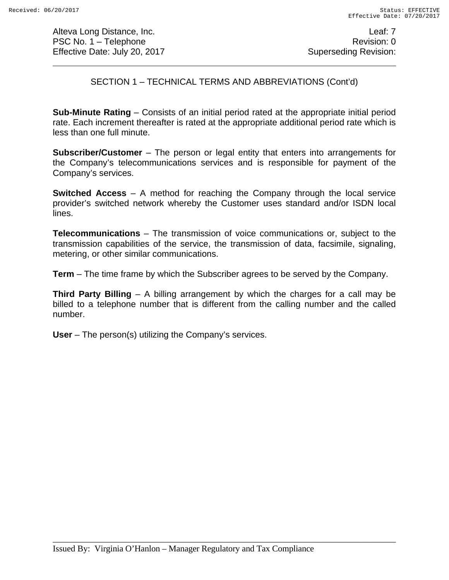Alteva Long Distance, Inc. Leaf: 7 PSC No. 1 – Telephone Revision: 0 Effective Date: July 20, 2017 **Superseding Revision:** Superseding Revision:

SECTION 1 – TECHNICAL TERMS AND ABBREVIATIONS (Cont'd)

**Sub-Minute Rating** – Consists of an initial period rated at the appropriate initial period rate. Each increment thereafter is rated at the appropriate additional period rate which is less than one full minute.

**Subscriber/Customer** – The person or legal entity that enters into arrangements for the Company's telecommunications services and is responsible for payment of the Company's services.

**Switched Access** – A method for reaching the Company through the local service provider's switched network whereby the Customer uses standard and/or ISDN local lines.

**Telecommunications** – The transmission of voice communications or, subject to the transmission capabilities of the service, the transmission of data, facsimile, signaling, metering, or other similar communications.

**Term** – The time frame by which the Subscriber agrees to be served by the Company.

**Third Party Billing** – A billing arrangement by which the charges for a call may be billed to a telephone number that is different from the calling number and the called number.

**User** – The person(s) utilizing the Company's services.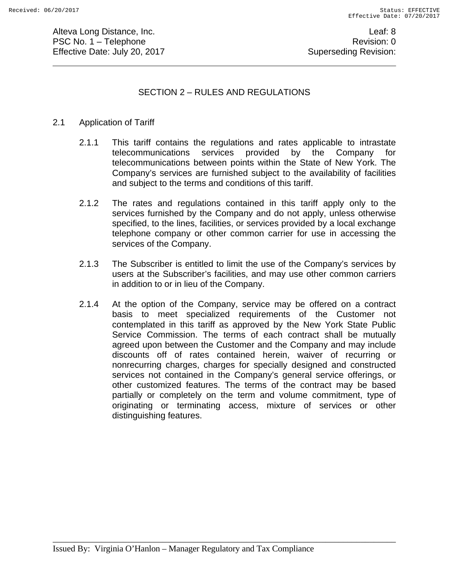Alteva Long Distance, Inc. **Leaf: 8** PSC No. 1 – Telephone Revision: 0 Effective Date: July 20, 2017 **Superseding Revision:** Superseding Revision:

# SECTION 2 – RULES AND REGULATIONS

## 2.1 Application of Tariff

- 2.1.1 This tariff contains the regulations and rates applicable to intrastate telecommunications services provided by the Company for telecommunications between points within the State of New York. The Company's services are furnished subject to the availability of facilities and subject to the terms and conditions of this tariff.
- 2.1.2 The rates and regulations contained in this tariff apply only to the services furnished by the Company and do not apply, unless otherwise specified, to the lines, facilities, or services provided by a local exchange telephone company or other common carrier for use in accessing the services of the Company.
- 2.1.3 The Subscriber is entitled to limit the use of the Company's services by users at the Subscriber's facilities, and may use other common carriers in addition to or in lieu of the Company.
- 2.1.4 At the option of the Company, service may be offered on a contract basis to meet specialized requirements of the Customer not contemplated in this tariff as approved by the New York State Public Service Commission. The terms of each contract shall be mutually agreed upon between the Customer and the Company and may include discounts off of rates contained herein, waiver of recurring or nonrecurring charges, charges for specially designed and constructed services not contained in the Company's general service offerings, or other customized features. The terms of the contract may be based partially or completely on the term and volume commitment, type of originating or terminating access, mixture of services or other distinguishing features.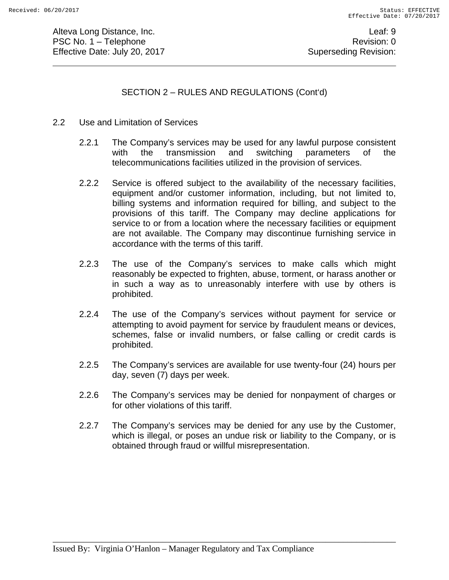Alteva Long Distance, Inc. **Leaf: 9** PSC No. 1 – Telephone Revision: 0 Effective Date: July 20, 2017 **Superseding Revision:** Superseding Revision:

SECTION 2 – RULES AND REGULATIONS (Cont'd)

- 2.2 Use and Limitation of Services
	- 2.2.1 The Company's services may be used for any lawful purpose consistent with the transmission and switching parameters of the telecommunications facilities utilized in the provision of services.
	- 2.2.2 Service is offered subject to the availability of the necessary facilities, equipment and/or customer information, including, but not limited to, billing systems and information required for billing, and subject to the provisions of this tariff. The Company may decline applications for service to or from a location where the necessary facilities or equipment are not available. The Company may discontinue furnishing service in accordance with the terms of this tariff.
	- 2.2.3 The use of the Company's services to make calls which might reasonably be expected to frighten, abuse, torment, or harass another or in such a way as to unreasonably interfere with use by others is prohibited.
	- 2.2.4 The use of the Company's services without payment for service or attempting to avoid payment for service by fraudulent means or devices, schemes, false or invalid numbers, or false calling or credit cards is prohibited.
	- 2.2.5 The Company's services are available for use twenty-four (24) hours per day, seven (7) days per week.
	- 2.2.6 The Company's services may be denied for nonpayment of charges or for other violations of this tariff.
	- 2.2.7 The Company's services may be denied for any use by the Customer, which is illegal, or poses an undue risk or liability to the Company, or is obtained through fraud or willful misrepresentation.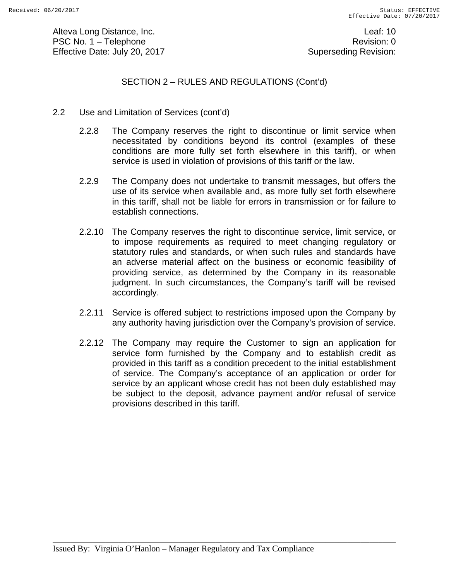Alteva Long Distance, Inc. **Leaf: 10** PSC No. 1 – Telephone Revision: 0 Effective Date: July 20, 2017 **Superseding Revision:** Superseding Revision:

## SECTION 2 – RULES AND REGULATIONS (Cont'd)

- 2.2 Use and Limitation of Services (cont'd)
	- 2.2.8 The Company reserves the right to discontinue or limit service when necessitated by conditions beyond its control (examples of these conditions are more fully set forth elsewhere in this tariff), or when service is used in violation of provisions of this tariff or the law.
	- 2.2.9 The Company does not undertake to transmit messages, but offers the use of its service when available and, as more fully set forth elsewhere in this tariff, shall not be liable for errors in transmission or for failure to establish connections.
	- 2.2.10 The Company reserves the right to discontinue service, limit service, or to impose requirements as required to meet changing regulatory or statutory rules and standards, or when such rules and standards have an adverse material affect on the business or economic feasibility of providing service, as determined by the Company in its reasonable judgment. In such circumstances, the Company's tariff will be revised accordingly.
	- 2.2.11 Service is offered subject to restrictions imposed upon the Company by any authority having jurisdiction over the Company's provision of service.
	- 2.2.12 The Company may require the Customer to sign an application for service form furnished by the Company and to establish credit as provided in this tariff as a condition precedent to the initial establishment of service. The Company's acceptance of an application or order for service by an applicant whose credit has not been duly established may be subject to the deposit, advance payment and/or refusal of service provisions described in this tariff.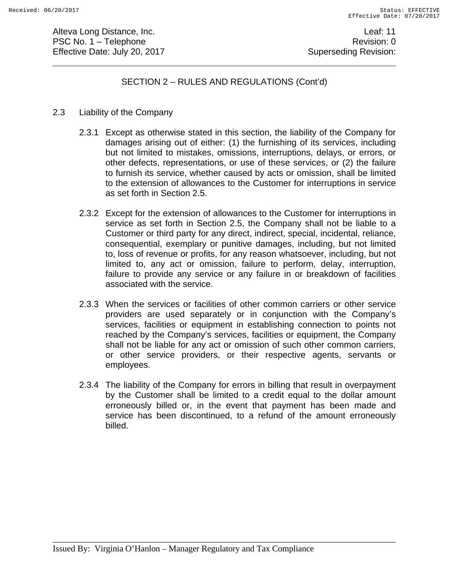Alteva Long Distance, Inc. **Leaf: 11** PSC No. 1 – Telephone Revision: 0 Effective Date: July 20, 2017 **Superseding Revision:** Superseding Revision:

## SECTION 2 – RULES AND REGULATIONS (Cont'd)

#### 2.3 Liability of the Company

- 2.3.1 Except as otherwise stated in this section, the liability of the Company for damages arising out of either: (1) the furnishing of its services, including but not limited to mistakes, omissions, interruptions, delays, or errors, or other defects, representations, or use of these services, or (2) the failure to furnish its service, whether caused by acts or omission, shall be limited to the extension of allowances to the Customer for interruptions in service as set forth in Section 2.5.
- 2.3.2 Except for the extension of allowances to the Customer for interruptions in service as set forth in Section 2.5, the Company shall not be liable to a Customer or third party for any direct, indirect, special, incidental, reliance, consequential, exemplary or punitive damages, including, but not limited to, loss of revenue or profits, for any reason whatsoever, including, but not limited to, any act or omission, failure to perform, delay, interruption, failure to provide any service or any failure in or breakdown of facilities associated with the service.
- 2.3.3 When the services or facilities of other common carriers or other service providers are used separately or in conjunction with the Company's services, facilities or equipment in establishing connection to points not reached by the Company's services, facilities or equipment, the Company shall not be liable for any act or omission of such other common carriers, or other service providers, or their respective agents, servants or employees.
- 2.3.4 The liability of the Company for errors in billing that result in overpayment by the Customer shall be limited to a credit equal to the dollar amount erroneously billed or, in the event that payment has been made and service has been discontinued, to a refund of the amount erroneously billed.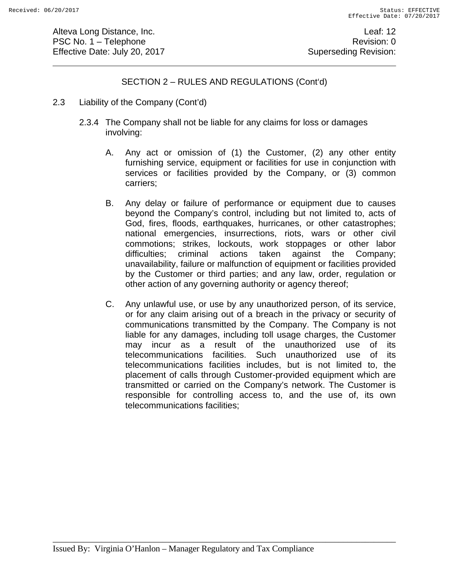Alteva Long Distance, Inc. **Leaf: 12** PSC No. 1 – Telephone Revision: 0 Effective Date: July 20, 2017 **Superseding Revision:** Superseding Revision:

## SECTION 2 – RULES AND REGULATIONS (Cont'd)

- 2.3 Liability of the Company (Cont'd)
	- 2.3.4 The Company shall not be liable for any claims for loss or damages involving:
		- A. Any act or omission of (1) the Customer, (2) any other entity furnishing service, equipment or facilities for use in conjunction with services or facilities provided by the Company, or (3) common carriers;
		- B. Any delay or failure of performance or equipment due to causes beyond the Company's control, including but not limited to, acts of God, fires, floods, earthquakes, hurricanes, or other catastrophes; national emergencies, insurrections, riots, wars or other civil commotions; strikes, lockouts, work stoppages or other labor difficulties; criminal actions taken against the Company; unavailability, failure or malfunction of equipment or facilities provided by the Customer or third parties; and any law, order, regulation or other action of any governing authority or agency thereof;
		- C. Any unlawful use, or use by any unauthorized person, of its service, or for any claim arising out of a breach in the privacy or security of communications transmitted by the Company. The Company is not liable for any damages, including toll usage charges, the Customer may incur as a result of the unauthorized use of its telecommunications facilities. Such unauthorized use of its telecommunications facilities includes, but is not limited to, the placement of calls through Customer-provided equipment which are transmitted or carried on the Company's network. The Customer is responsible for controlling access to, and the use of, its own telecommunications facilities;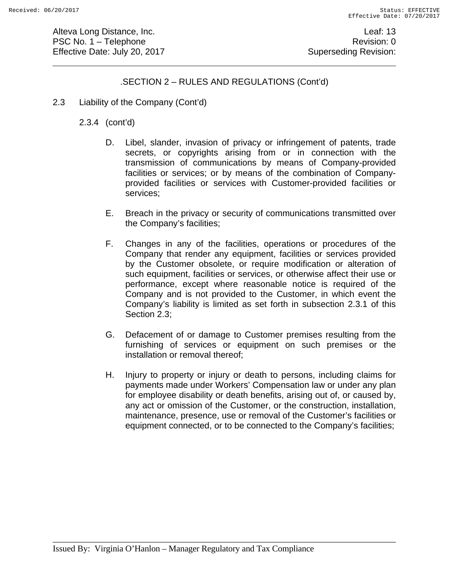Alteva Long Distance, Inc. **Leaf: 13** PSC No. 1 – Telephone Revision: 0 Effective Date: July 20, 2017 **Superseding Revision:** Superseding Revision:

# .SECTION 2 – RULES AND REGULATIONS (Cont'd)

2.3 Liability of the Company (Cont'd)

2.3.4 (cont'd)

- D. Libel, slander, invasion of privacy or infringement of patents, trade secrets, or copyrights arising from or in connection with the transmission of communications by means of Company-provided facilities or services; or by means of the combination of Companyprovided facilities or services with Customer-provided facilities or services;
- E. Breach in the privacy or security of communications transmitted over the Company's facilities;
- F. Changes in any of the facilities, operations or procedures of the Company that render any equipment, facilities or services provided by the Customer obsolete, or require modification or alteration of such equipment, facilities or services, or otherwise affect their use or performance, except where reasonable notice is required of the Company and is not provided to the Customer, in which event the Company's liability is limited as set forth in subsection 2.3.1 of this Section 2.3;
- G. Defacement of or damage to Customer premises resulting from the furnishing of services or equipment on such premises or the installation or removal thereof;
- H. Injury to property or injury or death to persons, including claims for payments made under Workers' Compensation law or under any plan for employee disability or death benefits, arising out of, or caused by, any act or omission of the Customer, or the construction, installation, maintenance, presence, use or removal of the Customer's facilities or equipment connected, or to be connected to the Company's facilities;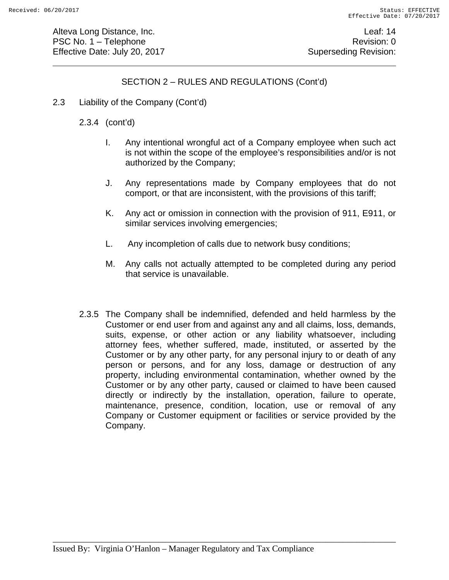Alteva Long Distance, Inc. **Leaf: 14** PSC No. 1 – Telephone Revision: 0 Effective Date: July 20, 2017 **Superseding Revision:** Superseding Revision:

# SECTION 2 – RULES AND REGULATIONS (Cont'd)

2.3 Liability of the Company (Cont'd)

## 2.3.4 (cont'd)

- I. Any intentional wrongful act of a Company employee when such act is not within the scope of the employee's responsibilities and/or is not authorized by the Company;
- J. Any representations made by Company employees that do not comport, or that are inconsistent, with the provisions of this tariff;
- K. Any act or omission in connection with the provision of 911, E911, or similar services involving emergencies;
- L. Any incompletion of calls due to network busy conditions;
- M. Any calls not actually attempted to be completed during any period that service is unavailable.
- 2.3.5 The Company shall be indemnified, defended and held harmless by the Customer or end user from and against any and all claims, loss, demands, suits, expense, or other action or any liability whatsoever, including attorney fees, whether suffered, made, instituted, or asserted by the Customer or by any other party, for any personal injury to or death of any person or persons, and for any loss, damage or destruction of any property, including environmental contamination, whether owned by the Customer or by any other party, caused or claimed to have been caused directly or indirectly by the installation, operation, failure to operate, maintenance, presence, condition, location, use or removal of any Company or Customer equipment or facilities or service provided by the Company.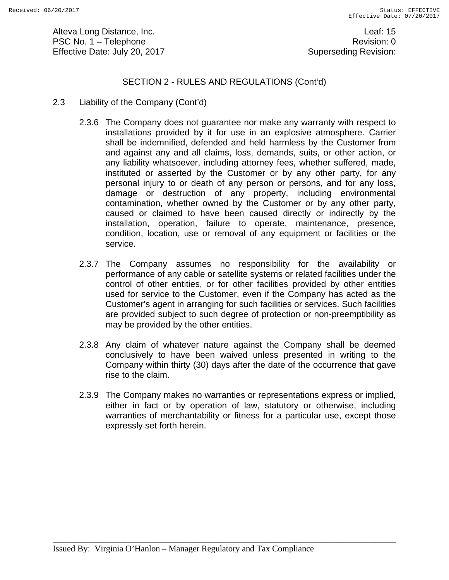Alteva Long Distance, Inc. **Leaf: 15** PSC No. 1 – Telephone Revision: 0 Effective Date: July 20, 2017 **Superseding Revision:** Superseding Revision:

## SECTION 2 - RULES AND REGULATIONS (Cont'd)

- 2.3 Liability of the Company (Cont'd)
	- 2.3.6 The Company does not guarantee nor make any warranty with respect to installations provided by it for use in an explosive atmosphere. Carrier shall be indemnified, defended and held harmless by the Customer from and against any and all claims, loss, demands, suits, or other action, or any liability whatsoever, including attorney fees, whether suffered, made, instituted or asserted by the Customer or by any other party, for any personal injury to or death of any person or persons, and for any loss, damage or destruction of any property, including environmental contamination, whether owned by the Customer or by any other party, caused or claimed to have been caused directly or indirectly by the installation, operation, failure to operate, maintenance, presence, condition, location, use or removal of any equipment or facilities or the service.
	- 2.3.7 The Company assumes no responsibility for the availability or performance of any cable or satellite systems or related facilities under the control of other entities, or for other facilities provided by other entities used for service to the Customer, even if the Company has acted as the Customer's agent in arranging for such facilities or services. Such facilities are provided subject to such degree of protection or non-preemptibility as may be provided by the other entities.
	- 2.3.8 Any claim of whatever nature against the Company shall be deemed conclusively to have been waived unless presented in writing to the Company within thirty (30) days after the date of the occurrence that gave rise to the claim.
	- 2.3.9 The Company makes no warranties or representations express or implied, either in fact or by operation of law, statutory or otherwise, including warranties of merchantability or fitness for a particular use, except those expressly set forth herein.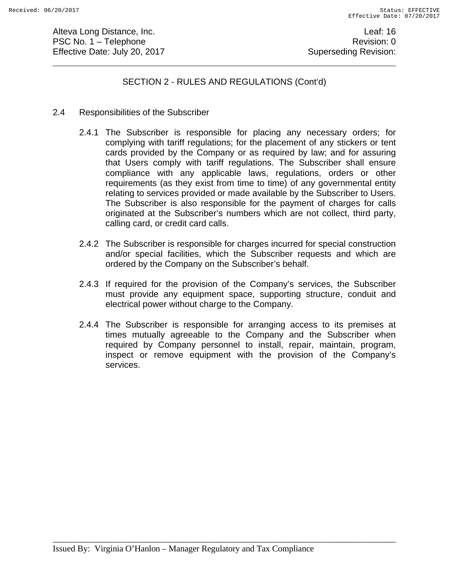Alteva Long Distance, Inc. **Leaf: 16** PSC No. 1 – Telephone Revision: 0 Effective Date: July 20, 2017 **Superseding Revision:** Superseding Revision:

SECTION 2 - RULES AND REGULATIONS (Cont'd)

- 2.4 Responsibilities of the Subscriber
	- 2.4.1 The Subscriber is responsible for placing any necessary orders; for complying with tariff regulations; for the placement of any stickers or tent cards provided by the Company or as required by law; and for assuring that Users comply with tariff regulations. The Subscriber shall ensure compliance with any applicable laws, regulations, orders or other requirements (as they exist from time to time) of any governmental entity relating to services provided or made available by the Subscriber to Users. The Subscriber is also responsible for the payment of charges for calls originated at the Subscriber's numbers which are not collect, third party, calling card, or credit card calls.
	- 2.4.2 The Subscriber is responsible for charges incurred for special construction and/or special facilities, which the Subscriber requests and which are ordered by the Company on the Subscriber's behalf.
	- 2.4.3 If required for the provision of the Company's services, the Subscriber must provide any equipment space, supporting structure, conduit and electrical power without charge to the Company.
	- 2.4.4 The Subscriber is responsible for arranging access to its premises at times mutually agreeable to the Company and the Subscriber when required by Company personnel to install, repair, maintain, program, inspect or remove equipment with the provision of the Company's services.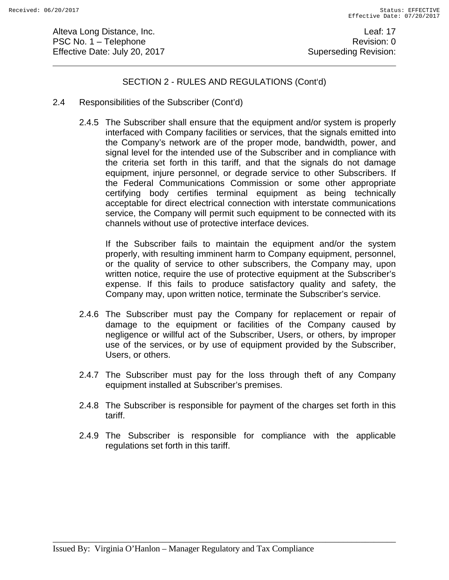Alteva Long Distance, Inc. **Leaf: 17** PSC No. 1 – Telephone Revision: 0 Effective Date: July 20, 2017 **Superseding Revision:** Superseding Revision:

## SECTION 2 - RULES AND REGULATIONS (Cont'd)

- 2.4 Responsibilities of the Subscriber (Cont'd)
	- 2.4.5 The Subscriber shall ensure that the equipment and/or system is properly interfaced with Company facilities or services, that the signals emitted into the Company's network are of the proper mode, bandwidth, power, and signal level for the intended use of the Subscriber and in compliance with the criteria set forth in this tariff, and that the signals do not damage equipment, injure personnel, or degrade service to other Subscribers. If the Federal Communications Commission or some other appropriate certifying body certifies terminal equipment as being technically acceptable for direct electrical connection with interstate communications service, the Company will permit such equipment to be connected with its channels without use of protective interface devices.

If the Subscriber fails to maintain the equipment and/or the system properly, with resulting imminent harm to Company equipment, personnel, or the quality of service to other subscribers, the Company may, upon written notice, require the use of protective equipment at the Subscriber's expense. If this fails to produce satisfactory quality and safety, the Company may, upon written notice, terminate the Subscriber's service.

- 2.4.6 The Subscriber must pay the Company for replacement or repair of damage to the equipment or facilities of the Company caused by negligence or willful act of the Subscriber, Users, or others, by improper use of the services, or by use of equipment provided by the Subscriber, Users, or others.
- 2.4.7 The Subscriber must pay for the loss through theft of any Company equipment installed at Subscriber's premises.
- 2.4.8 The Subscriber is responsible for payment of the charges set forth in this tariff.
- 2.4.9 The Subscriber is responsible for compliance with the applicable regulations set forth in this tariff.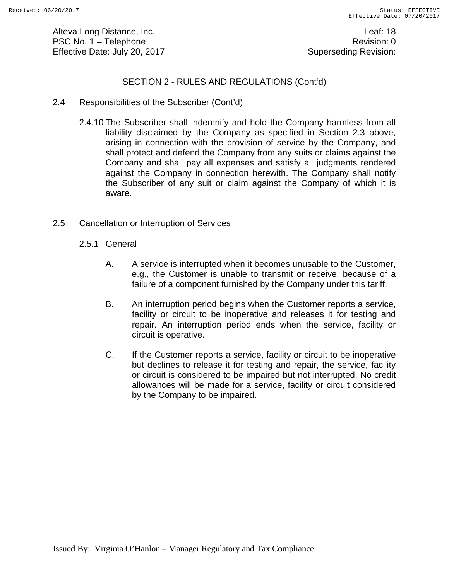Alteva Long Distance, Inc. **Leaf: 18** PSC No. 1 – Telephone Revision: 0 Effective Date: July 20, 2017 **Superseding Revision:** Superseding Revision:

## SECTION 2 - RULES AND REGULATIONS (Cont'd)

- 2.4 Responsibilities of the Subscriber (Cont'd)
	- 2.4.10 The Subscriber shall indemnify and hold the Company harmless from all liability disclaimed by the Company as specified in Section 2.3 above, arising in connection with the provision of service by the Company, and shall protect and defend the Company from any suits or claims against the Company and shall pay all expenses and satisfy all judgments rendered against the Company in connection herewith. The Company shall notify the Subscriber of any suit or claim against the Company of which it is aware.
- 2.5 Cancellation or Interruption of Services
	- 2.5.1 General
		- A. A service is interrupted when it becomes unusable to the Customer, e.g., the Customer is unable to transmit or receive, because of a failure of a component furnished by the Company under this tariff.
		- B. An interruption period begins when the Customer reports a service, facility or circuit to be inoperative and releases it for testing and repair. An interruption period ends when the service, facility or circuit is operative.
		- C. If the Customer reports a service, facility or circuit to be inoperative but declines to release it for testing and repair, the service, facility or circuit is considered to be impaired but not interrupted. No credit allowances will be made for a service, facility or circuit considered by the Company to be impaired.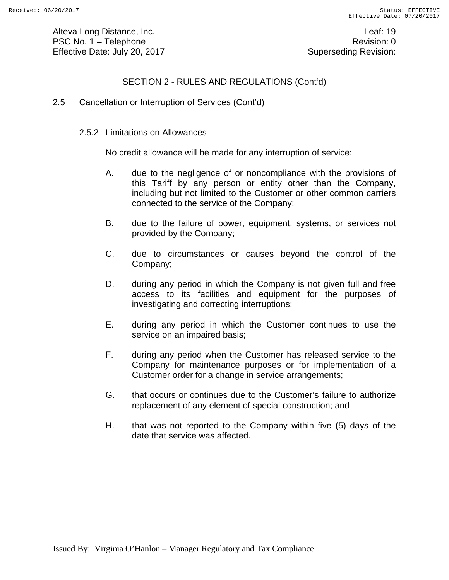Alteva Long Distance, Inc. **Leaf: 19** PSC No. 1 – Telephone Revision: 0 Effective Date: July 20, 2017 **Superseding Revision:** Superseding Revision:

# SECTION 2 - RULES AND REGULATIONS (Cont'd)

- 2.5 Cancellation or Interruption of Services (Cont'd)
	- 2.5.2 Limitations on Allowances

No credit allowance will be made for any interruption of service:

- A. due to the negligence of or noncompliance with the provisions of this Tariff by any person or entity other than the Company, including but not limited to the Customer or other common carriers connected to the service of the Company;
- B. due to the failure of power, equipment, systems, or services not provided by the Company;
- C. due to circumstances or causes beyond the control of the Company;
- D. during any period in which the Company is not given full and free access to its facilities and equipment for the purposes of investigating and correcting interruptions;
- E. during any period in which the Customer continues to use the service on an impaired basis;
- F. during any period when the Customer has released service to the Company for maintenance purposes or for implementation of a Customer order for a change in service arrangements;
- G. that occurs or continues due to the Customer's failure to authorize replacement of any element of special construction; and
- H. that was not reported to the Company within five (5) days of the date that service was affected.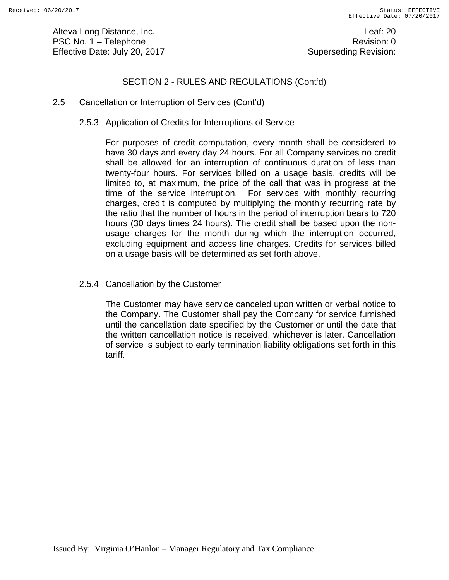Alteva Long Distance, Inc. **Leaf: 20** PSC No. 1 – Telephone Revision: 0 Effective Date: July 20, 2017 **Superseding Revision:** Superseding Revision:

# SECTION 2 - RULES AND REGULATIONS (Cont'd)

- 2.5 Cancellation or Interruption of Services (Cont'd)
	- 2.5.3 Application of Credits for Interruptions of Service

For purposes of credit computation, every month shall be considered to have 30 days and every day 24 hours. For all Company services no credit shall be allowed for an interruption of continuous duration of less than twenty-four hours. For services billed on a usage basis, credits will be limited to, at maximum, the price of the call that was in progress at the time of the service interruption. For services with monthly recurring charges, credit is computed by multiplying the monthly recurring rate by the ratio that the number of hours in the period of interruption bears to 720 hours (30 days times 24 hours). The credit shall be based upon the nonusage charges for the month during which the interruption occurred, excluding equipment and access line charges. Credits for services billed on a usage basis will be determined as set forth above.

2.5.4 Cancellation by the Customer

The Customer may have service canceled upon written or verbal notice to the Company. The Customer shall pay the Company for service furnished until the cancellation date specified by the Customer or until the date that the written cancellation notice is received, whichever is later. Cancellation of service is subject to early termination liability obligations set forth in this tariff.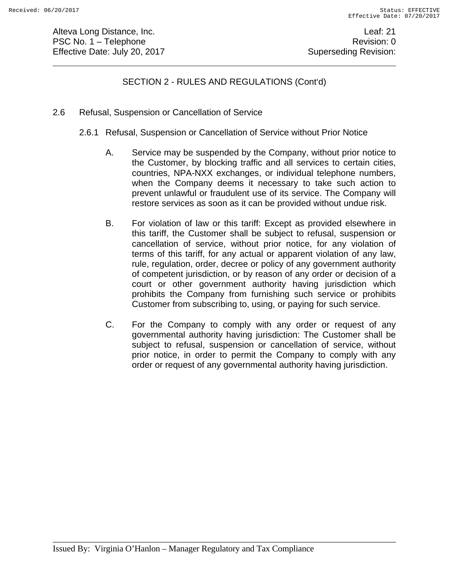Alteva Long Distance, Inc. **Leaf: 21** PSC No. 1 – Telephone Revision: 0 Effective Date: July 20, 2017 **Superseding Revision:** Superseding Revision:

# SECTION 2 - RULES AND REGULATIONS (Cont'd)

- 2.6 Refusal, Suspension or Cancellation of Service
	- 2.6.1 Refusal, Suspension or Cancellation of Service without Prior Notice
		- A. Service may be suspended by the Company, without prior notice to the Customer, by blocking traffic and all services to certain cities, countries, NPA-NXX exchanges, or individual telephone numbers, when the Company deems it necessary to take such action to prevent unlawful or fraudulent use of its service. The Company will restore services as soon as it can be provided without undue risk.
		- B. For violation of law or this tariff: Except as provided elsewhere in this tariff, the Customer shall be subject to refusal, suspension or cancellation of service, without prior notice, for any violation of terms of this tariff, for any actual or apparent violation of any law, rule, regulation, order, decree or policy of any government authority of competent jurisdiction, or by reason of any order or decision of a court or other government authority having jurisdiction which prohibits the Company from furnishing such service or prohibits Customer from subscribing to, using, or paying for such service.
		- C. For the Company to comply with any order or request of any governmental authority having jurisdiction: The Customer shall be subject to refusal, suspension or cancellation of service, without prior notice, in order to permit the Company to comply with any order or request of any governmental authority having jurisdiction.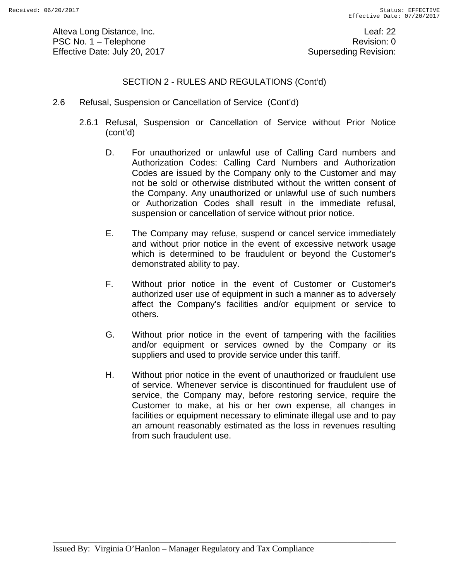Alteva Long Distance, Inc. **Leaf: 22** PSC No. 1 – Telephone Revision: 0 Effective Date: July 20, 2017 **Superseding Revision:** Superseding Revision:

# SECTION 2 - RULES AND REGULATIONS (Cont'd)

- 2.6 Refusal, Suspension or Cancellation of Service (Cont'd)
	- 2.6.1 Refusal, Suspension or Cancellation of Service without Prior Notice (cont'd)
		- D. For unauthorized or unlawful use of Calling Card numbers and Authorization Codes: Calling Card Numbers and Authorization Codes are issued by the Company only to the Customer and may not be sold or otherwise distributed without the written consent of the Company. Any unauthorized or unlawful use of such numbers or Authorization Codes shall result in the immediate refusal, suspension or cancellation of service without prior notice.
		- E. The Company may refuse, suspend or cancel service immediately and without prior notice in the event of excessive network usage which is determined to be fraudulent or beyond the Customer's demonstrated ability to pay.
		- F. Without prior notice in the event of Customer or Customer's authorized user use of equipment in such a manner as to adversely affect the Company's facilities and/or equipment or service to others.
		- G. Without prior notice in the event of tampering with the facilities and/or equipment or services owned by the Company or its suppliers and used to provide service under this tariff.
		- H. Without prior notice in the event of unauthorized or fraudulent use of service. Whenever service is discontinued for fraudulent use of service, the Company may, before restoring service, require the Customer to make, at his or her own expense, all changes in facilities or equipment necessary to eliminate illegal use and to pay an amount reasonably estimated as the loss in revenues resulting from such fraudulent use.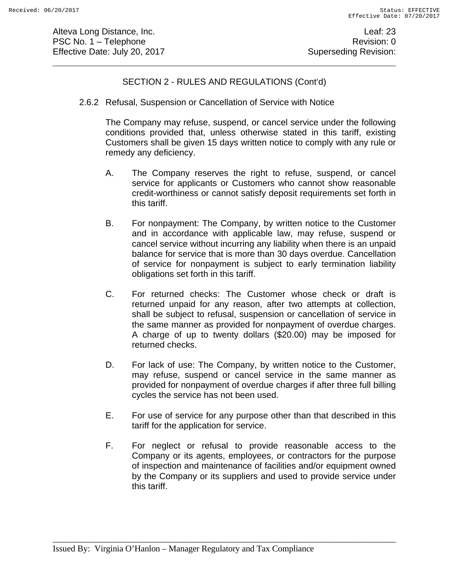Alteva Long Distance, Inc. **Leaf: 23** PSC No. 1 – Telephone Revision: 0 Effective Date: July 20, 2017 **Superseding Revision:** Superseding Revision:

## SECTION 2 - RULES AND REGULATIONS (Cont'd)

2.6.2 Refusal, Suspension or Cancellation of Service with Notice

The Company may refuse, suspend, or cancel service under the following conditions provided that, unless otherwise stated in this tariff, existing Customers shall be given 15 days written notice to comply with any rule or remedy any deficiency.

- A. The Company reserves the right to refuse, suspend, or cancel service for applicants or Customers who cannot show reasonable credit-worthiness or cannot satisfy deposit requirements set forth in this tariff.
- B. For nonpayment: The Company, by written notice to the Customer and in accordance with applicable law, may refuse, suspend or cancel service without incurring any liability when there is an unpaid balance for service that is more than 30 days overdue. Cancellation of service for nonpayment is subject to early termination liability obligations set forth in this tariff.
- C. For returned checks: The Customer whose check or draft is returned unpaid for any reason, after two attempts at collection, shall be subject to refusal, suspension or cancellation of service in the same manner as provided for nonpayment of overdue charges. A charge of up to twenty dollars (\$20.00) may be imposed for returned checks.
- D. For lack of use: The Company, by written notice to the Customer, may refuse, suspend or cancel service in the same manner as provided for nonpayment of overdue charges if after three full billing cycles the service has not been used.
- E. For use of service for any purpose other than that described in this tariff for the application for service.
- F. For neglect or refusal to provide reasonable access to the Company or its agents, employees, or contractors for the purpose of inspection and maintenance of facilities and/or equipment owned by the Company or its suppliers and used to provide service under this tariff.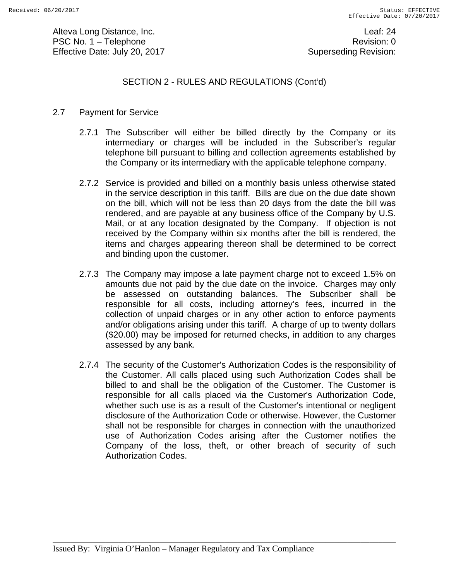Alteva Long Distance, Inc. **Leaf: 24** PSC No. 1 – Telephone Revision: 0 Effective Date: July 20, 2017 **Superseding Revision:** Superseding Revision:

## SECTION 2 - RULES AND REGULATIONS (Cont'd)

#### 2.7 Payment for Service

- 2.7.1 The Subscriber will either be billed directly by the Company or its intermediary or charges will be included in the Subscriber's regular telephone bill pursuant to billing and collection agreements established by the Company or its intermediary with the applicable telephone company.
- 2.7.2 Service is provided and billed on a monthly basis unless otherwise stated in the service description in this tariff. Bills are due on the due date shown on the bill, which will not be less than 20 days from the date the bill was rendered, and are payable at any business office of the Company by U.S. Mail, or at any location designated by the Company. If objection is not received by the Company within six months after the bill is rendered, the items and charges appearing thereon shall be determined to be correct and binding upon the customer.
- 2.7.3 The Company may impose a late payment charge not to exceed 1.5% on amounts due not paid by the due date on the invoice. Charges may only be assessed on outstanding balances. The Subscriber shall be responsible for all costs, including attorney's fees, incurred in the collection of unpaid charges or in any other action to enforce payments and/or obligations arising under this tariff. A charge of up to twenty dollars (\$20.00) may be imposed for returned checks, in addition to any charges assessed by any bank.
- 2.7.4 The security of the Customer's Authorization Codes is the responsibility of the Customer. All calls placed using such Authorization Codes shall be billed to and shall be the obligation of the Customer. The Customer is responsible for all calls placed via the Customer's Authorization Code, whether such use is as a result of the Customer's intentional or negligent disclosure of the Authorization Code or otherwise. However, the Customer shall not be responsible for charges in connection with the unauthorized use of Authorization Codes arising after the Customer notifies the Company of the loss, theft, or other breach of security of such Authorization Codes.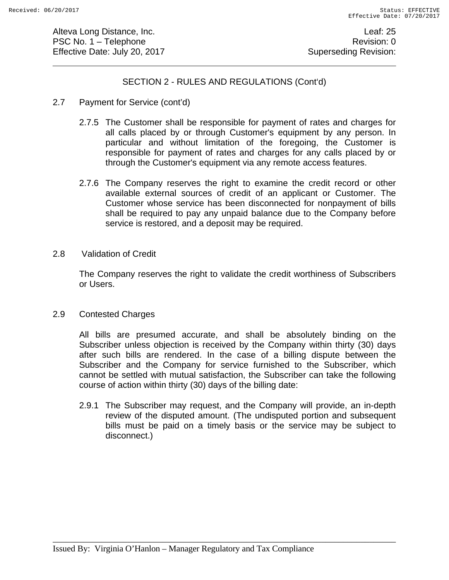Alteva Long Distance, Inc. **Leaf: 25** PSC No. 1 – Telephone Revision: 0 Effective Date: July 20, 2017 **Superseding Revision:** Superseding Revision:

## SECTION 2 - RULES AND REGULATIONS (Cont'd)

- 2.7 Payment for Service (cont'd)
	- 2.7.5 The Customer shall be responsible for payment of rates and charges for all calls placed by or through Customer's equipment by any person. In particular and without limitation of the foregoing, the Customer is responsible for payment of rates and charges for any calls placed by or through the Customer's equipment via any remote access features.
	- 2.7.6 The Company reserves the right to examine the credit record or other available external sources of credit of an applicant or Customer. The Customer whose service has been disconnected for nonpayment of bills shall be required to pay any unpaid balance due to the Company before service is restored, and a deposit may be required.
- 2.8 Validation of Credit

The Company reserves the right to validate the credit worthiness of Subscribers or Users.

2.9 Contested Charges

All bills are presumed accurate, and shall be absolutely binding on the Subscriber unless objection is received by the Company within thirty (30) days after such bills are rendered. In the case of a billing dispute between the Subscriber and the Company for service furnished to the Subscriber, which cannot be settled with mutual satisfaction, the Subscriber can take the following course of action within thirty (30) days of the billing date:

2.9.1 The Subscriber may request, and the Company will provide, an in-depth review of the disputed amount. (The undisputed portion and subsequent bills must be paid on a timely basis or the service may be subject to disconnect.)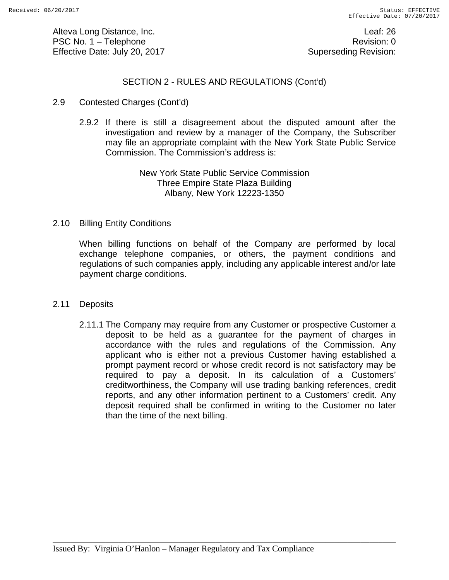Alteva Long Distance, Inc. **Leaf: 26** PSC No. 1 – Telephone Revision: 0 Effective Date: July 20, 2017 **Superseding Revision:** Superseding Revision:

## SECTION 2 - RULES AND REGULATIONS (Cont'd)

#### 2.9 Contested Charges (Cont'd)

2.9.2 If there is still a disagreement about the disputed amount after the investigation and review by a manager of the Company, the Subscriber may file an appropriate complaint with the New York State Public Service Commission. The Commission's address is:

#### New York State Public Service Commission Three Empire State Plaza Building Albany, New York 12223-1350

#### 2.10 Billing Entity Conditions

When billing functions on behalf of the Company are performed by local exchange telephone companies, or others, the payment conditions and regulations of such companies apply, including any applicable interest and/or late payment charge conditions.

#### 2.11 Deposits

2.11.1 The Company may require from any Customer or prospective Customer a deposit to be held as a guarantee for the payment of charges in accordance with the rules and regulations of the Commission. Any applicant who is either not a previous Customer having established a prompt payment record or whose credit record is not satisfactory may be required to pay a deposit. In its calculation of a Customers' creditworthiness, the Company will use trading banking references, credit reports, and any other information pertinent to a Customers' credit. Any deposit required shall be confirmed in writing to the Customer no later than the time of the next billing.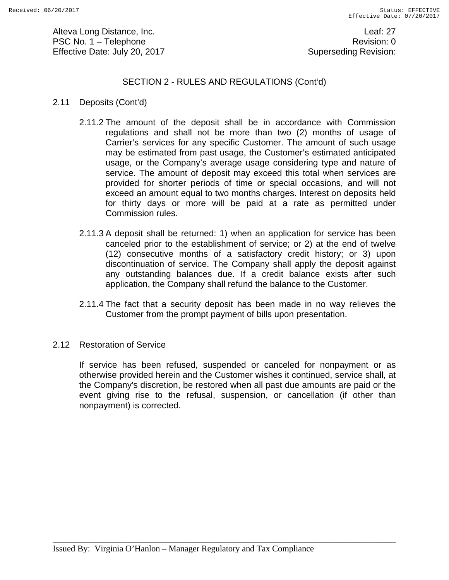Alteva Long Distance, Inc. **Leaf: 27** PSC No. 1 – Telephone Revision: 0 Effective Date: July 20, 2017 **Superseding Revision:** Superseding Revision:

## SECTION 2 - RULES AND REGULATIONS (Cont'd)

- 2.11 Deposits (Cont'd)
	- 2.11.2 The amount of the deposit shall be in accordance with Commission regulations and shall not be more than two (2) months of usage of Carrier's services for any specific Customer. The amount of such usage may be estimated from past usage, the Customer's estimated anticipated usage, or the Company's average usage considering type and nature of service. The amount of deposit may exceed this total when services are provided for shorter periods of time or special occasions, and will not exceed an amount equal to two months charges. Interest on deposits held for thirty days or more will be paid at a rate as permitted under Commission rules.
	- 2.11.3 A deposit shall be returned: 1) when an application for service has been canceled prior to the establishment of service; or 2) at the end of twelve (12) consecutive months of a satisfactory credit history; or 3) upon discontinuation of service. The Company shall apply the deposit against any outstanding balances due. If a credit balance exists after such application, the Company shall refund the balance to the Customer.
	- 2.11.4 The fact that a security deposit has been made in no way relieves the Customer from the prompt payment of bills upon presentation.
- 2.12 Restoration of Service

If service has been refused, suspended or canceled for nonpayment or as otherwise provided herein and the Customer wishes it continued, service shall, at the Company's discretion, be restored when all past due amounts are paid or the event giving rise to the refusal, suspension, or cancellation (if other than nonpayment) is corrected.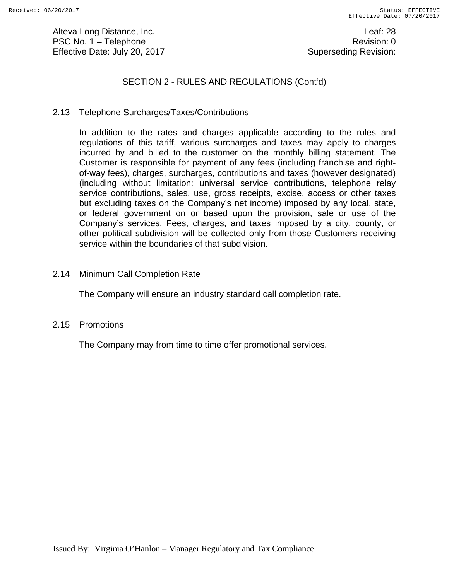Alteva Long Distance, Inc. **Leaf: 28** PSC No. 1 – Telephone Revision: 0 Effective Date: July 20, 2017 **Superseding Revision:** Superseding Revision:

## SECTION 2 - RULES AND REGULATIONS (Cont'd)

2.13 Telephone Surcharges/Taxes/Contributions

In addition to the rates and charges applicable according to the rules and regulations of this tariff, various surcharges and taxes may apply to charges incurred by and billed to the customer on the monthly billing statement. The Customer is responsible for payment of any fees (including franchise and rightof-way fees), charges, surcharges, contributions and taxes (however designated) (including without limitation: universal service contributions, telephone relay service contributions, sales, use, gross receipts, excise, access or other taxes but excluding taxes on the Company's net income) imposed by any local, state, or federal government on or based upon the provision, sale or use of the Company's services. Fees, charges, and taxes imposed by a city, county, or other political subdivision will be collected only from those Customers receiving service within the boundaries of that subdivision.

2.14 Minimum Call Completion Rate

The Company will ensure an industry standard call completion rate.

2.15 Promotions

The Company may from time to time offer promotional services.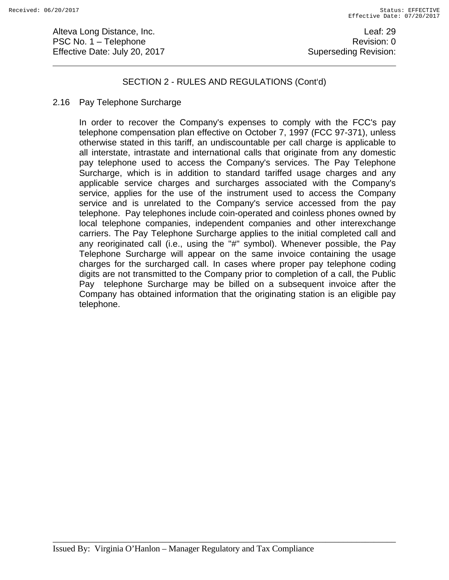Alteva Long Distance, Inc. **Leaf: 29** PSC No. 1 – Telephone Revision: 0 Effective Date: July 20, 2017 **Superseding Revision:** Superseding Revision:

## SECTION 2 - RULES AND REGULATIONS (Cont'd)

#### 2.16 Pay Telephone Surcharge

In order to recover the Company's expenses to comply with the FCC's pay telephone compensation plan effective on October 7, 1997 (FCC 97-371), unless otherwise stated in this tariff, an undiscountable per call charge is applicable to all interstate, intrastate and international calls that originate from any domestic pay telephone used to access the Company's services. The Pay Telephone Surcharge, which is in addition to standard tariffed usage charges and any applicable service charges and surcharges associated with the Company's service, applies for the use of the instrument used to access the Company service and is unrelated to the Company's service accessed from the pay telephone. Pay telephones include coin-operated and coinless phones owned by local telephone companies, independent companies and other interexchange carriers. The Pay Telephone Surcharge applies to the initial completed call and any reoriginated call (i.e., using the "#" symbol). Whenever possible, the Pay Telephone Surcharge will appear on the same invoice containing the usage charges for the surcharged call. In cases where proper pay telephone coding digits are not transmitted to the Company prior to completion of a call, the Public Pay telephone Surcharge may be billed on a subsequent invoice after the Company has obtained information that the originating station is an eligible pay telephone.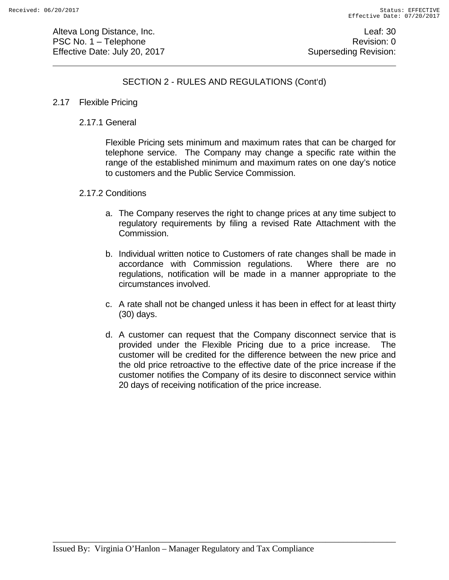Alteva Long Distance, Inc. **Leaf: 30** PSC No. 1 – Telephone Revision: 0 Effective Date: July 20, 2017 **Superseding Revision:** Superseding Revision:

# SECTION 2 - RULES AND REGULATIONS (Cont'd)

#### 2.17 Flexible Pricing

## 2.17.1 General

 Flexible Pricing sets minimum and maximum rates that can be charged for telephone service. The Company may change a specific rate within the range of the established minimum and maximum rates on one day's notice to customers and the Public Service Commission.

#### 2.17.2 Conditions

- a. The Company reserves the right to change prices at any time subject to regulatory requirements by filing a revised Rate Attachment with the Commission.
- b. Individual written notice to Customers of rate changes shall be made in accordance with Commission regulations. Where there are no regulations, notification will be made in a manner appropriate to the circumstances involved.
- c. A rate shall not be changed unless it has been in effect for at least thirty (30) days.
- d. A customer can request that the Company disconnect service that is provided under the Flexible Pricing due to a price increase. The customer will be credited for the difference between the new price and the old price retroactive to the effective date of the price increase if the customer notifies the Company of its desire to disconnect service within 20 days of receiving notification of the price increase.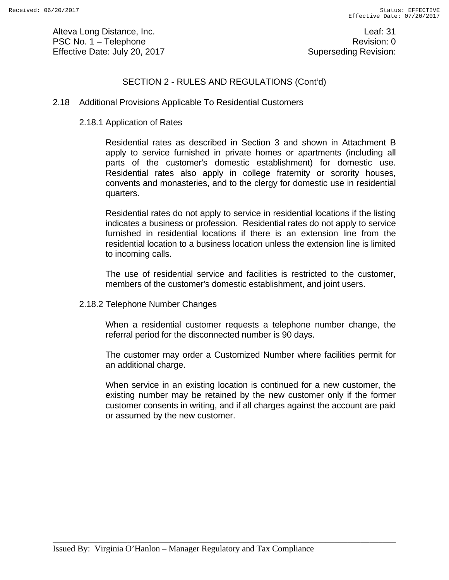Alteva Long Distance, Inc. **Leaf: 31** PSC No. 1 – Telephone Revision: 0 Effective Date: July 20, 2017 **Superseding Revision:** Superseding Revision:

# SECTION 2 - RULES AND REGULATIONS (Cont'd)

#### 2.18 Additional Provisions Applicable To Residential Customers

#### 2.18.1 Application of Rates

 Residential rates as described in Section 3 and shown in Attachment B apply to service furnished in private homes or apartments (including all parts of the customer's domestic establishment) for domestic use. Residential rates also apply in college fraternity or sorority houses, convents and monasteries, and to the clergy for domestic use in residential quarters.

 Residential rates do not apply to service in residential locations if the listing indicates a business or profession. Residential rates do not apply to service furnished in residential locations if there is an extension line from the residential location to a business location unless the extension line is limited to incoming calls.

 The use of residential service and facilities is restricted to the customer, members of the customer's domestic establishment, and joint users.

2.18.2 Telephone Number Changes

 When a residential customer requests a telephone number change, the referral period for the disconnected number is 90 days.

 The customer may order a Customized Number where facilities permit for an additional charge.

 When service in an existing location is continued for a new customer, the existing number may be retained by the new customer only if the former customer consents in writing, and if all charges against the account are paid or assumed by the new customer.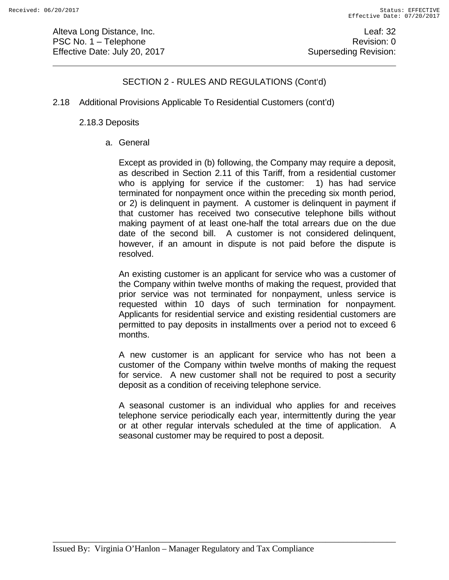Alteva Long Distance, Inc. **Leaf: 32** PSC No. 1 – Telephone Revision: 0 Effective Date: July 20, 2017 **Superseding Revision:** Superseding Revision:

# SECTION 2 - RULES AND REGULATIONS (Cont'd)

2.18 Additional Provisions Applicable To Residential Customers (cont'd)

#### 2.18.3 Deposits

a. General

 Except as provided in (b) following, the Company may require a deposit, as described in Section 2.11 of this Tariff, from a residential customer who is applying for service if the customer: 1) has had service terminated for nonpayment once within the preceding six month period, or 2) is delinquent in payment. A customer is delinquent in payment if that customer has received two consecutive telephone bills without making payment of at least one-half the total arrears due on the due date of the second bill. A customer is not considered delinquent, however, if an amount in dispute is not paid before the dispute is resolved.

 An existing customer is an applicant for service who was a customer of the Company within twelve months of making the request, provided that prior service was not terminated for nonpayment, unless service is requested within 10 days of such termination for nonpayment. Applicants for residential service and existing residential customers are permitted to pay deposits in installments over a period not to exceed 6 months.

 A new customer is an applicant for service who has not been a customer of the Company within twelve months of making the request for service. A new customer shall not be required to post a security deposit as a condition of receiving telephone service.

 A seasonal customer is an individual who applies for and receives telephone service periodically each year, intermittently during the year or at other regular intervals scheduled at the time of application. A seasonal customer may be required to post a deposit.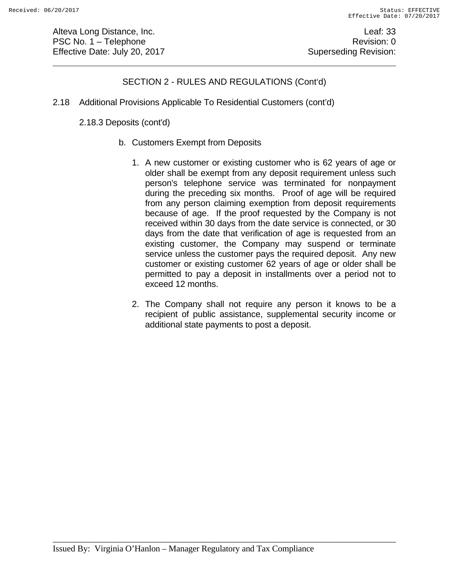Alteva Long Distance, Inc. **Leaf: 33** PSC No. 1 – Telephone Revision: 0 Effective Date: July 20, 2017 **Superseding Revision:** Superseding Revision:

# SECTION 2 - RULES AND REGULATIONS (Cont'd)

2.18 Additional Provisions Applicable To Residential Customers (cont'd)

2.18.3 Deposits (cont'd)

- b. Customers Exempt from Deposits
	- 1. A new customer or existing customer who is 62 years of age or older shall be exempt from any deposit requirement unless such person's telephone service was terminated for nonpayment during the preceding six months. Proof of age will be required from any person claiming exemption from deposit requirements because of age. If the proof requested by the Company is not received within 30 days from the date service is connected, or 30 days from the date that verification of age is requested from an existing customer, the Company may suspend or terminate service unless the customer pays the required deposit. Any new customer or existing customer 62 years of age or older shall be permitted to pay a deposit in installments over a period not to exceed 12 months.
	- 2. The Company shall not require any person it knows to be a recipient of public assistance, supplemental security income or additional state payments to post a deposit.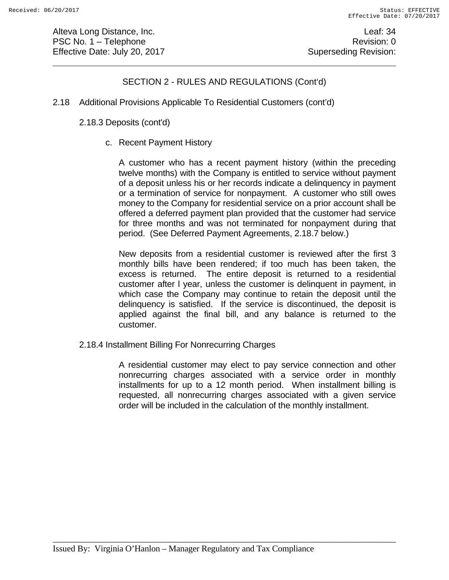Alteva Long Distance, Inc. **Leaf: 34** PSC No. 1 – Telephone Revision: 0 Effective Date: July 20, 2017 **Superseding Revision:** Superseding Revision:

# SECTION 2 - RULES AND REGULATIONS (Cont'd)

2.18 Additional Provisions Applicable To Residential Customers (cont'd)

#### 2.18.3 Deposits (cont'd)

c. Recent Payment History

 A customer who has a recent payment history (within the preceding twelve months) with the Company is entitled to service without payment of a deposit unless his or her records indicate a delinquency in payment or a termination of service for nonpayment. A customer who still owes money to the Company for residential service on a prior account shall be offered a deferred payment plan provided that the customer had service for three months and was not terminated for nonpayment during that period. (See Deferred Payment Agreements, 2.18.7 below.)

 New deposits from a residential customer is reviewed after the first 3 monthly bills have been rendered; if too much has been taken, the excess is returned. The entire deposit is returned to a residential customer after l year, unless the customer is delinquent in payment, in which case the Company may continue to retain the deposit until the delinquency is satisfied. If the service is discontinued, the deposit is applied against the final bill, and any balance is returned to the customer.

2.18.4 Installment Billing For Nonrecurring Charges

 A residential customer may elect to pay service connection and other nonrecurring charges associated with a service order in monthly installments for up to a 12 month period. When installment billing is requested, all nonrecurring charges associated with a given service order will be included in the calculation of the monthly installment.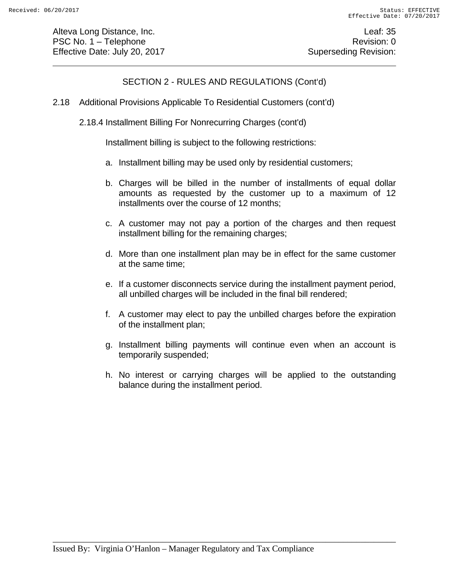Alteva Long Distance, Inc. **Leaf: 35** PSC No. 1 – Telephone Revision: 0 Effective Date: July 20, 2017 **Superseding Revision:** Superseding Revision:

# SECTION 2 - RULES AND REGULATIONS (Cont'd)

- 2.18 Additional Provisions Applicable To Residential Customers (cont'd)
	- 2.18.4 Installment Billing For Nonrecurring Charges (cont'd)

Installment billing is subject to the following restrictions:

- a. Installment billing may be used only by residential customers;
- b. Charges will be billed in the number of installments of equal dollar amounts as requested by the customer up to a maximum of 12 installments over the course of 12 months;
- c. A customer may not pay a portion of the charges and then request installment billing for the remaining charges;
- d. More than one installment plan may be in effect for the same customer at the same time;
- e. If a customer disconnects service during the installment payment period, all unbilled charges will be included in the final bill rendered;
- f. A customer may elect to pay the unbilled charges before the expiration of the installment plan;
- g. Installment billing payments will continue even when an account is temporarily suspended;
- h. No interest or carrying charges will be applied to the outstanding balance during the installment period.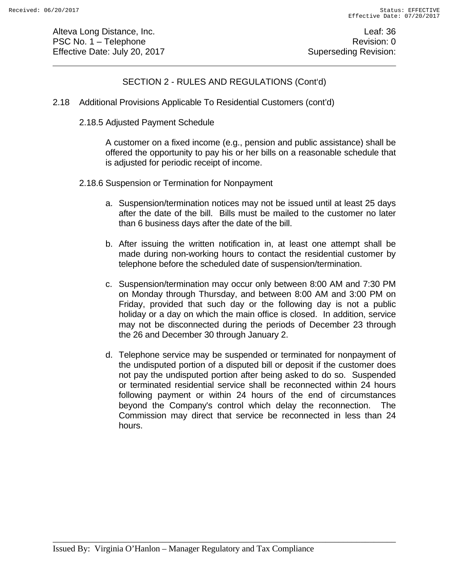Alteva Long Distance, Inc. **Leaf: 36** PSC No. 1 – Telephone Revision: 0 Effective Date: July 20, 2017 **Superseding Revision:** Superseding Revision:

# SECTION 2 - RULES AND REGULATIONS (Cont'd)

- 2.18 Additional Provisions Applicable To Residential Customers (cont'd)
	- 2.18.5 Adjusted Payment Schedule

 A customer on a fixed income (e.g., pension and public assistance) shall be offered the opportunity to pay his or her bills on a reasonable schedule that is adjusted for periodic receipt of income.

- 2.18.6 Suspension or Termination for Nonpayment
	- a. Suspension/termination notices may not be issued until at least 25 days after the date of the bill. Bills must be mailed to the customer no later than 6 business days after the date of the bill.
	- b. After issuing the written notification in, at least one attempt shall be made during non-working hours to contact the residential customer by telephone before the scheduled date of suspension/termination.
	- c. Suspension/termination may occur only between 8:00 AM and 7:30 PM on Monday through Thursday, and between 8:00 AM and 3:00 PM on Friday, provided that such day or the following day is not a public holiday or a day on which the main office is closed. In addition, service may not be disconnected during the periods of December 23 through the 26 and December 30 through January 2.
	- d. Telephone service may be suspended or terminated for nonpayment of the undisputed portion of a disputed bill or deposit if the customer does not pay the undisputed portion after being asked to do so. Suspended or terminated residential service shall be reconnected within 24 hours following payment or within 24 hours of the end of circumstances beyond the Company's control which delay the reconnection. The Commission may direct that service be reconnected in less than 24 hours.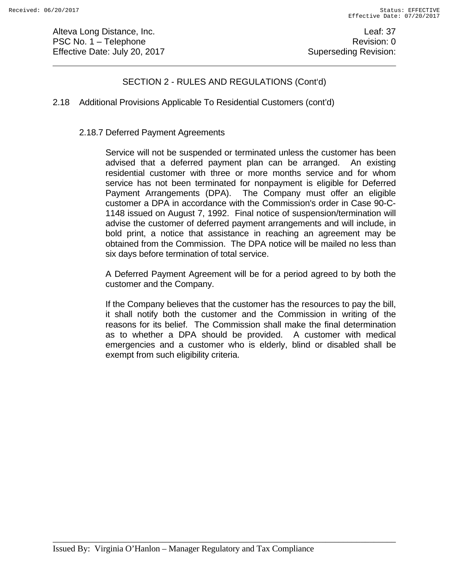Alteva Long Distance, Inc. **Leaf: 37** PSC No. 1 – Telephone Revision: 0 Effective Date: July 20, 2017 **Superseding Revision:** Superseding Revision:

# SECTION 2 - RULES AND REGULATIONS (Cont'd)

## 2.18 Additional Provisions Applicable To Residential Customers (cont'd)

## 2.18.7 Deferred Payment Agreements

 Service will not be suspended or terminated unless the customer has been advised that a deferred payment plan can be arranged. An existing residential customer with three or more months service and for whom service has not been terminated for nonpayment is eligible for Deferred Payment Arrangements (DPA). The Company must offer an eligible customer a DPA in accordance with the Commission's order in Case 90-C-1148 issued on August 7, 1992. Final notice of suspension/termination will advise the customer of deferred payment arrangements and will include, in bold print, a notice that assistance in reaching an agreement may be obtained from the Commission. The DPA notice will be mailed no less than six days before termination of total service.

 A Deferred Payment Agreement will be for a period agreed to by both the customer and the Company.

 If the Company believes that the customer has the resources to pay the bill, it shall notify both the customer and the Commission in writing of the reasons for its belief. The Commission shall make the final determination as to whether a DPA should be provided. A customer with medical emergencies and a customer who is elderly, blind or disabled shall be exempt from such eligibility criteria.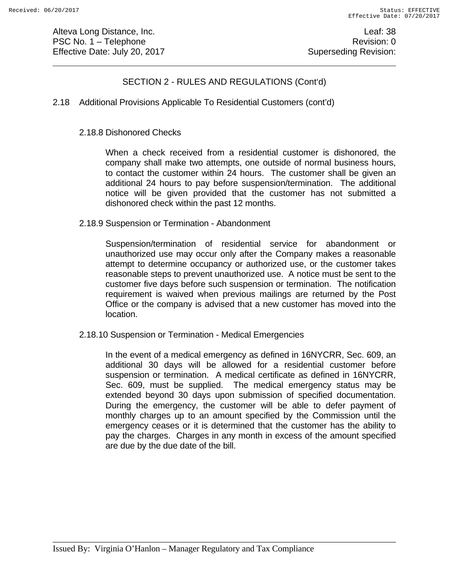Alteva Long Distance, Inc. **Leaf: 38** PSC No. 1 – Telephone Revision: 0 Effective Date: July 20, 2017 **Superseding Revision:** Superseding Revision:

# SECTION 2 - RULES AND REGULATIONS (Cont'd)

## 2.18 Additional Provisions Applicable To Residential Customers (cont'd)

#### 2.18.8 Dishonored Checks

 When a check received from a residential customer is dishonored, the company shall make two attempts, one outside of normal business hours, to contact the customer within 24 hours. The customer shall be given an additional 24 hours to pay before suspension/termination. The additional notice will be given provided that the customer has not submitted a dishonored check within the past 12 months.

#### 2.18.9 Suspension or Termination - Abandonment

 Suspension/termination of residential service for abandonment or unauthorized use may occur only after the Company makes a reasonable attempt to determine occupancy or authorized use, or the customer takes reasonable steps to prevent unauthorized use. A notice must be sent to the customer five days before such suspension or termination. The notification requirement is waived when previous mailings are returned by the Post Office or the company is advised that a new customer has moved into the location.

2.18.10 Suspension or Termination - Medical Emergencies

 In the event of a medical emergency as defined in 16NYCRR, Sec. 609, an additional 30 days will be allowed for a residential customer before suspension or termination. A medical certificate as defined in 16NYCRR, Sec. 609, must be supplied. The medical emergency status may be extended beyond 30 days upon submission of specified documentation. During the emergency, the customer will be able to defer payment of monthly charges up to an amount specified by the Commission until the emergency ceases or it is determined that the customer has the ability to pay the charges. Charges in any month in excess of the amount specified are due by the due date of the bill.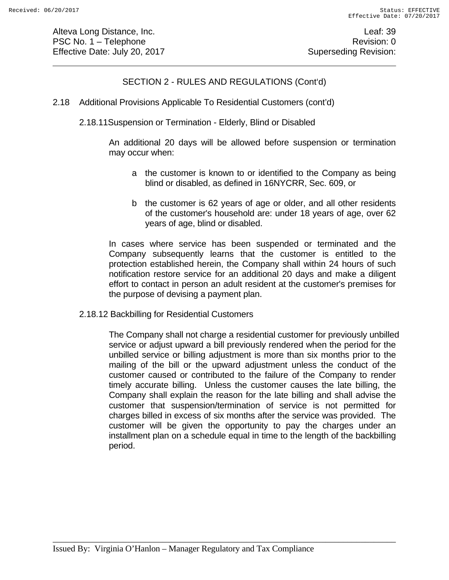Alteva Long Distance, Inc. **Leaf: 39** PSC No. 1 – Telephone Revision: 0 Effective Date: July 20, 2017 **Superseding Revision:** Superseding Revision:

## SECTION 2 - RULES AND REGULATIONS (Cont'd)

- 2.18 Additional Provisions Applicable To Residential Customers (cont'd)
	- 2.18.11Suspension or Termination Elderly, Blind or Disabled

An additional 20 days will be allowed before suspension or termination may occur when:

- a the customer is known to or identified to the Company as being blind or disabled, as defined in 16NYCRR, Sec. 609, or
- b the customer is 62 years of age or older, and all other residents of the customer's household are: under 18 years of age, over 62 years of age, blind or disabled.

 In cases where service has been suspended or terminated and the Company subsequently learns that the customer is entitled to the protection established herein, the Company shall within 24 hours of such notification restore service for an additional 20 days and make a diligent effort to contact in person an adult resident at the customer's premises for the purpose of devising a payment plan.

2.18.12 Backbilling for Residential Customers

The Company shall not charge a residential customer for previously unbilled service or adjust upward a bill previously rendered when the period for the unbilled service or billing adjustment is more than six months prior to the mailing of the bill or the upward adjustment unless the conduct of the customer caused or contributed to the failure of the Company to render timely accurate billing. Unless the customer causes the late billing, the Company shall explain the reason for the late billing and shall advise the customer that suspension/termination of service is not permitted for charges billed in excess of six months after the service was provided. The customer will be given the opportunity to pay the charges under an installment plan on a schedule equal in time to the length of the backbilling period.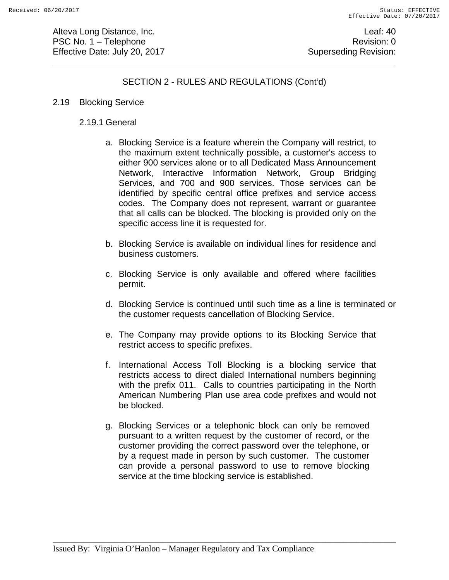Alteva Long Distance, Inc. **Leaf: 40** PSC No. 1 – Telephone Revision: 0 Effective Date: July 20, 2017 **Superseding Revision:** Superseding Revision:

# SECTION 2 - RULES AND REGULATIONS (Cont'd)

#### 2.19 Blocking Service

## 2.19.1 General

- a. Blocking Service is a feature wherein the Company will restrict, to the maximum extent technically possible, a customer's access to either 900 services alone or to all Dedicated Mass Announcement Network, Interactive Information Network, Group Bridging Services, and 700 and 900 services. Those services can be identified by specific central office prefixes and service access codes. The Company does not represent, warrant or guarantee that all calls can be blocked. The blocking is provided only on the specific access line it is requested for.
- b. Blocking Service is available on individual lines for residence and business customers.
- c. Blocking Service is only available and offered where facilities permit.
- d. Blocking Service is continued until such time as a line is terminated or the customer requests cancellation of Blocking Service.
- e. The Company may provide options to its Blocking Service that restrict access to specific prefixes.
- f. International Access Toll Blocking is a blocking service that restricts access to direct dialed International numbers beginning with the prefix 011. Calls to countries participating in the North American Numbering Plan use area code prefixes and would not be blocked.
- g. Blocking Services or a telephonic block can only be removed pursuant to a written request by the customer of record, or the customer providing the correct password over the telephone, or by a request made in person by such customer. The customer can provide a personal password to use to remove blocking service at the time blocking service is established.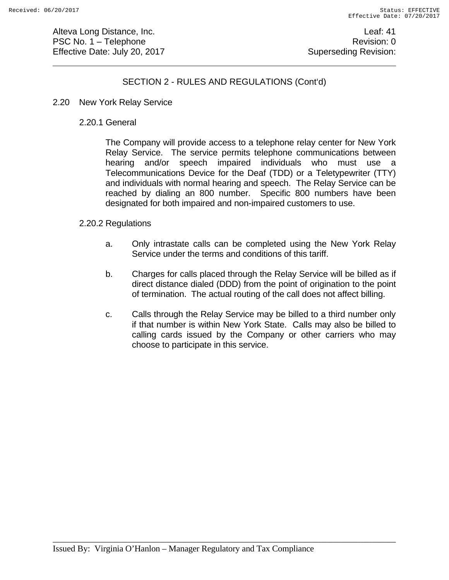Alteva Long Distance, Inc. **Leaf: 41** PSC No. 1 – Telephone Revision: 0 Effective Date: July 20, 2017 **Superseding Revision:** Superseding Revision:

# SECTION 2 - RULES AND REGULATIONS (Cont'd)

- 2.20 New York Relay Service
	- 2.20.1 General

 The Company will provide access to a telephone relay center for New York Relay Service. The service permits telephone communications between hearing and/or speech impaired individuals who must use a Telecommunications Device for the Deaf (TDD) or a Teletypewriter (TTY) and individuals with normal hearing and speech. The Relay Service can be reached by dialing an 800 number. Specific 800 numbers have been designated for both impaired and non-impaired customers to use.

#### 2.20.2 Regulations

- a. Only intrastate calls can be completed using the New York Relay Service under the terms and conditions of this tariff.
- b. Charges for calls placed through the Relay Service will be billed as if direct distance dialed (DDD) from the point of origination to the point of termination. The actual routing of the call does not affect billing.
- c. Calls through the Relay Service may be billed to a third number only if that number is within New York State. Calls may also be billed to calling cards issued by the Company or other carriers who may choose to participate in this service.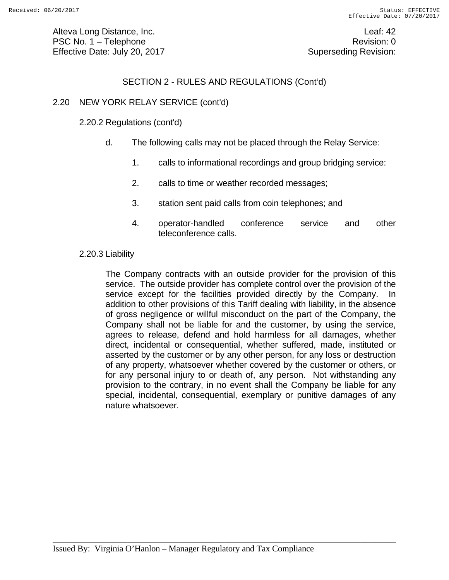# SECTION 2 - RULES AND REGULATIONS (Cont'd)

## 2.20 NEW YORK RELAY SERVICE (cont'd)

#### 2.20.2 Regulations (cont'd)

- d. The following calls may not be placed through the Relay Service:
	- 1. calls to informational recordings and group bridging service:
	- 2. calls to time or weather recorded messages;
	- 3. station sent paid calls from coin telephones; and
	- 4. operator-handled conference service and other teleconference calls.

#### 2.20.3 Liability

 The Company contracts with an outside provider for the provision of this service. The outside provider has complete control over the provision of the service except for the facilities provided directly by the Company. In addition to other provisions of this Tariff dealing with liability, in the absence of gross negligence or willful misconduct on the part of the Company, the Company shall not be liable for and the customer, by using the service, agrees to release, defend and hold harmless for all damages, whether direct, incidental or consequential, whether suffered, made, instituted or asserted by the customer or by any other person, for any loss or destruction of any property, whatsoever whether covered by the customer or others, or for any personal injury to or death of, any person. Not withstanding any provision to the contrary, in no event shall the Company be liable for any special, incidental, consequential, exemplary or punitive damages of any nature whatsoever.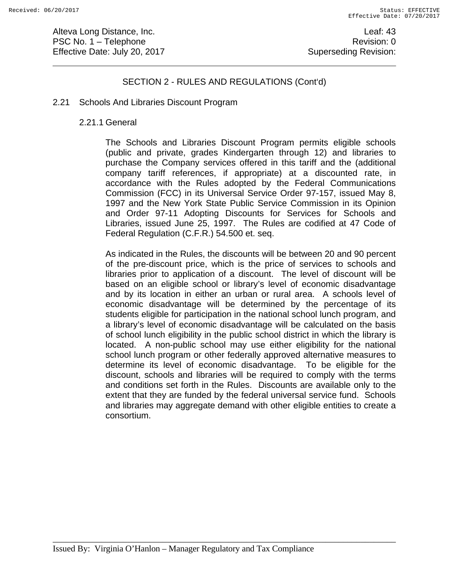Alteva Long Distance, Inc. **Leaf: 43** PSC No. 1 – Telephone Revision: 0 Effective Date: July 20, 2017 **Superseding Revision:** Superseding Revision:

## SECTION 2 - RULES AND REGULATIONS (Cont'd)

#### 2.21 Schools And Libraries Discount Program

#### 2.21.1 General

The Schools and Libraries Discount Program permits eligible schools (public and private, grades Kindergarten through 12) and libraries to purchase the Company services offered in this tariff and the (additional company tariff references, if appropriate) at a discounted rate, in accordance with the Rules adopted by the Federal Communications Commission (FCC) in its Universal Service Order 97-157, issued May 8, 1997 and the New York State Public Service Commission in its Opinion and Order 97-11 Adopting Discounts for Services for Schools and Libraries, issued June 25, 1997. The Rules are codified at 47 Code of Federal Regulation (C.F.R.) 54.500 et. seq.

As indicated in the Rules, the discounts will be between 20 and 90 percent of the pre-discount price, which is the price of services to schools and libraries prior to application of a discount. The level of discount will be based on an eligible school or library's level of economic disadvantage and by its location in either an urban or rural area. A schools level of economic disadvantage will be determined by the percentage of its students eligible for participation in the national school lunch program, and a library's level of economic disadvantage will be calculated on the basis of school lunch eligibility in the public school district in which the library is located. A non-public school may use either eligibility for the national school lunch program or other federally approved alternative measures to determine its level of economic disadvantage. To be eligible for the discount, schools and libraries will be required to comply with the terms and conditions set forth in the Rules. Discounts are available only to the extent that they are funded by the federal universal service fund. Schools and libraries may aggregate demand with other eligible entities to create a consortium.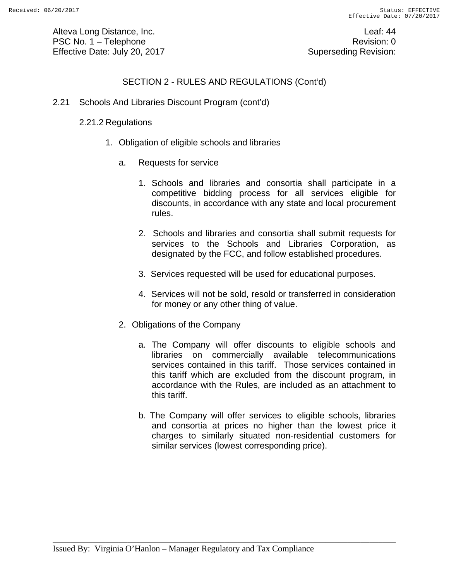Alteva Long Distance, Inc. **Leaf: 44** PSC No. 1 – Telephone Revision: 0 Effective Date: July 20, 2017 **Superseding Revision:** Superseding Revision:

# SECTION 2 - RULES AND REGULATIONS (Cont'd)

2.21 Schools And Libraries Discount Program (cont'd)

## 2.21.2 Regulations

- 1. Obligation of eligible schools and libraries
	- a. Requests for service
		- 1. Schools and libraries and consortia shall participate in a competitive bidding process for all services eligible for discounts, in accordance with any state and local procurement rules.
		- 2. Schools and libraries and consortia shall submit requests for services to the Schools and Libraries Corporation, as designated by the FCC, and follow established procedures.
		- 3. Services requested will be used for educational purposes.
		- 4. Services will not be sold, resold or transferred in consideration for money or any other thing of value.
	- 2. Obligations of the Company
		- a. The Company will offer discounts to eligible schools and libraries on commercially available telecommunications services contained in this tariff. Those services contained in this tariff which are excluded from the discount program, in accordance with the Rules, are included as an attachment to this tariff.
		- b. The Company will offer services to eligible schools, libraries and consortia at prices no higher than the lowest price it charges to similarly situated non-residential customers for similar services (lowest corresponding price).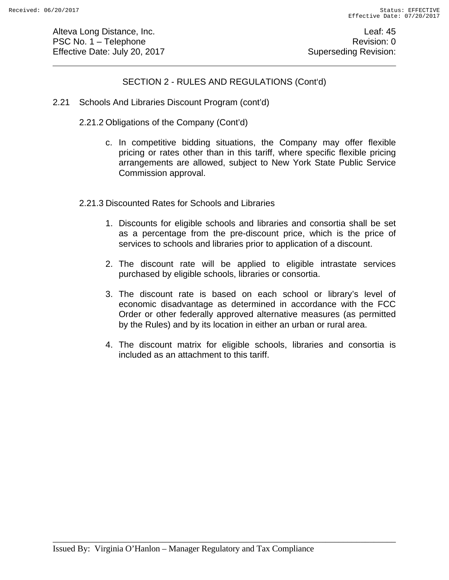Alteva Long Distance, Inc. **Leaf: 45** PSC No. 1 – Telephone Revision: 0 Effective Date: July 20, 2017 **Superseding Revision:** Superseding Revision:

## SECTION 2 - RULES AND REGULATIONS (Cont'd)

- 2.21 Schools And Libraries Discount Program (cont'd)
	- 2.21.2 Obligations of the Company (Cont'd)
		- c. In competitive bidding situations, the Company may offer flexible pricing or rates other than in this tariff, where specific flexible pricing arrangements are allowed, subject to New York State Public Service Commission approval.
	- 2.21.3 Discounted Rates for Schools and Libraries
		- 1. Discounts for eligible schools and libraries and consortia shall be set as a percentage from the pre-discount price, which is the price of services to schools and libraries prior to application of a discount.
		- 2. The discount rate will be applied to eligible intrastate services purchased by eligible schools, libraries or consortia.
		- 3. The discount rate is based on each school or library's level of economic disadvantage as determined in accordance with the FCC Order or other federally approved alternative measures (as permitted by the Rules) and by its location in either an urban or rural area.
		- 4. The discount matrix for eligible schools, libraries and consortia is included as an attachment to this tariff.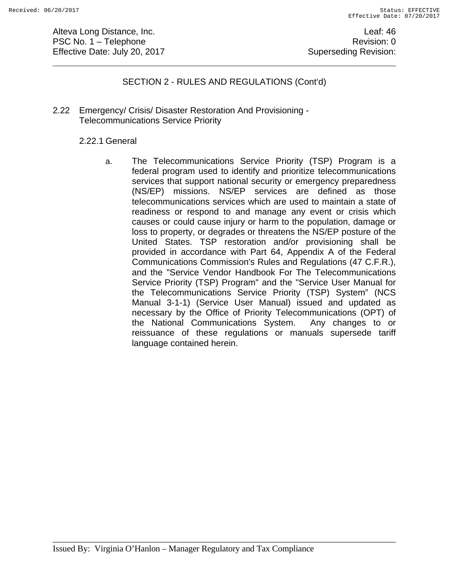Alteva Long Distance, Inc. **Leaf: 46** PSC No. 1 – Telephone Revision: 0 Effective Date: July 20, 2017 **Superseding Revision:** Superseding Revision:

## SECTION 2 - RULES AND REGULATIONS (Cont'd)

2.22 Emergency/ Crisis/ Disaster Restoration And Provisioning - Telecommunications Service Priority

#### 2.22.1 General

a. The Telecommunications Service Priority (TSP) Program is a federal program used to identify and prioritize telecommunications services that support national security or emergency preparedness (NS/EP) missions. NS/EP services are defined as those telecommunications services which are used to maintain a state of readiness or respond to and manage any event or crisis which causes or could cause injury or harm to the population, damage or loss to property, or degrades or threatens the NS/EP posture of the United States. TSP restoration and/or provisioning shall be provided in accordance with Part 64, Appendix A of the Federal Communications Commission's Rules and Regulations (47 C.F.R.), and the "Service Vendor Handbook For The Telecommunications Service Priority (TSP) Program" and the "Service User Manual for the Telecommunications Service Priority (TSP) System" (NCS Manual 3-1-1) (Service User Manual) issued and updated as necessary by the Office of Priority Telecommunications (OPT) of the National Communications System. Any changes to or reissuance of these regulations or manuals supersede tariff language contained herein.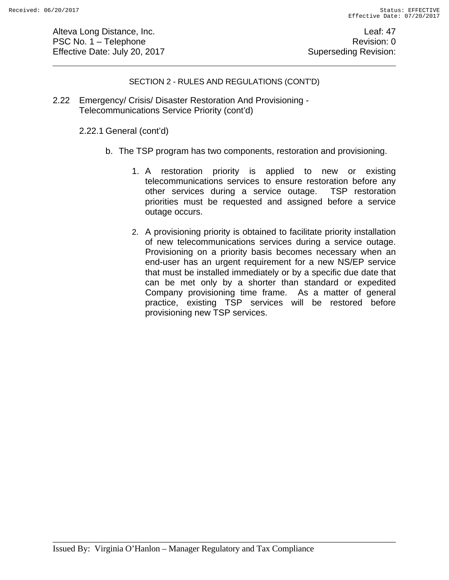Alteva Long Distance, Inc. **Leaf: 47** PSC No. 1 – Telephone Revision: 0 Effective Date: July 20, 2017 **Superseding Revision:** Superseding Revision:

#### SECTION 2 - RULES AND REGULATIONS (CONT'D)

2.22 Emergency/ Crisis/ Disaster Restoration And Provisioning - Telecommunications Service Priority (cont'd)

2.22.1 General (cont'd)

- b. The TSP program has two components, restoration and provisioning.
	- 1. A restoration priority is applied to new or existing telecommunications services to ensure restoration before any other services during a service outage. TSP restoration priorities must be requested and assigned before a service outage occurs.
	- 2. A provisioning priority is obtained to facilitate priority installation of new telecommunications services during a service outage. Provisioning on a priority basis becomes necessary when an end-user has an urgent requirement for a new NS/EP service that must be installed immediately or by a specific due date that can be met only by a shorter than standard or expedited Company provisioning time frame. As a matter of general practice, existing TSP services will be restored before provisioning new TSP services.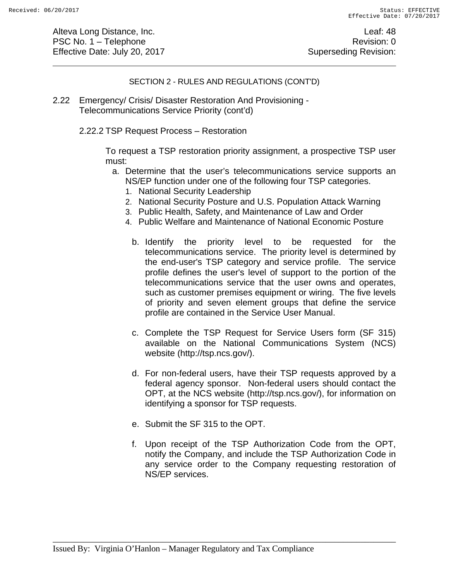Alteva Long Distance, Inc. **Leaf: 48** PSC No. 1 – Telephone Revision: 0 Effective Date: July 20, 2017 **Superseding Revision:** Superseding Revision:

#### SECTION 2 - RULES AND REGULATIONS (CONT'D)

2.22 Emergency/ Crisis/ Disaster Restoration And Provisioning - Telecommunications Service Priority (cont'd)

2.22.2 TSP Request Process – Restoration

To request a TSP restoration priority assignment, a prospective TSP user must:

- a. Determine that the user's telecommunications service supports an NS/EP function under one of the following four TSP categories.
	- 1. National Security Leadership
	- 2. National Security Posture and U.S. Population Attack Warning
	- 3. Public Health, Safety, and Maintenance of Law and Order
	- 4. Public Welfare and Maintenance of National Economic Posture
		- b. Identify the priority level to be requested for the telecommunications service. The priority level is determined by the end-user's TSP category and service profile. The service profile defines the user's level of support to the portion of the telecommunications service that the user owns and operates, such as customer premises equipment or wiring. The five levels of priority and seven element groups that define the service profile are contained in the Service User Manual.
		- c. Complete the TSP Request for Service Users form (SF 315) available on the National Communications System (NCS) website (http://tsp.ncs.gov/).
		- d. For non-federal users, have their TSP requests approved by a federal agency sponsor. Non-federal users should contact the OPT, at the NCS website (http://tsp.ncs.gov/), for information on identifying a sponsor for TSP requests.
		- e. Submit the SF 315 to the OPT.
		- f. Upon receipt of the TSP Authorization Code from the OPT, notify the Company, and include the TSP Authorization Code in any service order to the Company requesting restoration of NS/EP services.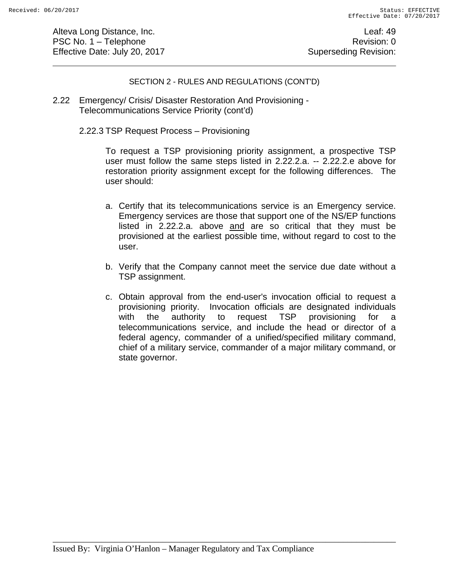Alteva Long Distance, Inc. **Leaf: 49** PSC No. 1 – Telephone Revision: 0 Effective Date: July 20, 2017 **Superseding Revision:** Superseding Revision:

#### SECTION 2 - RULES AND REGULATIONS (CONT'D)

2.22 Emergency/ Crisis/ Disaster Restoration And Provisioning - Telecommunications Service Priority (cont'd)

2.22.3 TSP Request Process – Provisioning

To request a TSP provisioning priority assignment, a prospective TSP user must follow the same steps listed in 2.22.2.a. -- 2.22.2.e above for restoration priority assignment except for the following differences. The user should:

- a. Certify that its telecommunications service is an Emergency service. Emergency services are those that support one of the NS/EP functions listed in 2.22.2.a. above and are so critical that they must be provisioned at the earliest possible time, without regard to cost to the user.
- b. Verify that the Company cannot meet the service due date without a TSP assignment.
- c. Obtain approval from the end-user's invocation official to request a provisioning priority. Invocation officials are designated individuals with the authority to request TSP provisioning for a telecommunications service, and include the head or director of a federal agency, commander of a unified/specified military command, chief of a military service, commander of a major military command, or state governor.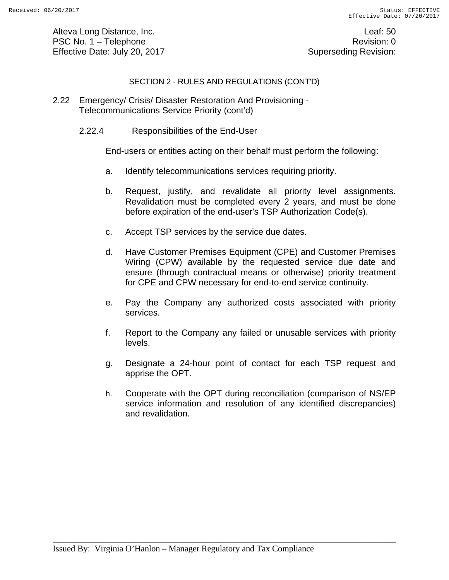Alteva Long Distance, Inc. **Leaf: 50** PSC No. 1 – Telephone Revision: 0 Effective Date: July 20, 2017 **Superseding Revision:** Superseding Revision:

#### SECTION 2 - RULES AND REGULATIONS (CONT'D)

- 2.22 Emergency/ Crisis/ Disaster Restoration And Provisioning Telecommunications Service Priority (cont'd)
	- 2.22.4 Responsibilities of the End-User

End-users or entities acting on their behalf must perform the following:

- a. Identify telecommunications services requiring priority.
- b. Request, justify, and revalidate all priority level assignments. Revalidation must be completed every 2 years, and must be done before expiration of the end-user's TSP Authorization Code(s).
- c. Accept TSP services by the service due dates.
- d. Have Customer Premises Equipment (CPE) and Customer Premises Wiring (CPW) available by the requested service due date and ensure (through contractual means or otherwise) priority treatment for CPE and CPW necessary for end-to-end service continuity.
- e. Pay the Company any authorized costs associated with priority services.
- f. Report to the Company any failed or unusable services with priority levels.
- g. Designate a 24-hour point of contact for each TSP request and apprise the OPT.
- h. Cooperate with the OPT during reconciliation (comparison of NS/EP service information and resolution of any identified discrepancies) and revalidation.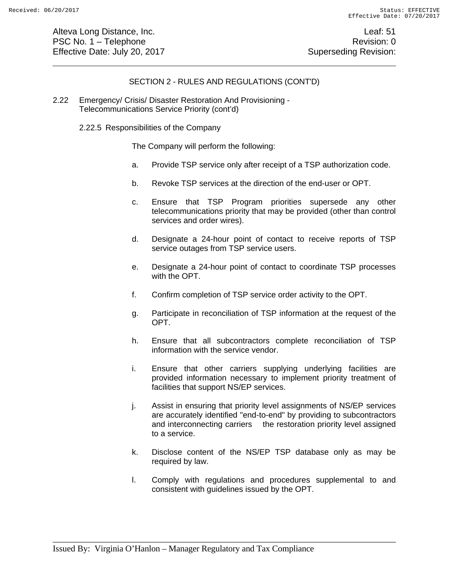Alteva Long Distance, Inc. **Leaf:** 51 PSC No. 1 – Telephone Revision: 0 Effective Date: July 20, 2017 **Superseding Revision:** Superseding Revision:

#### SECTION 2 - RULES AND REGULATIONS (CONT'D)

2.22 Emergency/ Crisis/ Disaster Restoration And Provisioning - Telecommunications Service Priority (cont'd)

2.22.5 Responsibilities of the Company

The Company will perform the following:

- a. Provide TSP service only after receipt of a TSP authorization code.
- b. Revoke TSP services at the direction of the end-user or OPT.
- c. Ensure that TSP Program priorities supersede any other telecommunications priority that may be provided (other than control services and order wires).
- d. Designate a 24-hour point of contact to receive reports of TSP service outages from TSP service users.
- e. Designate a 24-hour point of contact to coordinate TSP processes with the OPT.
- f. Confirm completion of TSP service order activity to the OPT.
- g. Participate in reconciliation of TSP information at the request of the OPT.
- h. Ensure that all subcontractors complete reconciliation of TSP information with the service vendor.
- i. Ensure that other carriers supplying underlying facilities are provided information necessary to implement priority treatment of facilities that support NS/EP services.
- j. Assist in ensuring that priority level assignments of NS/EP services are accurately identified "end-to-end" by providing to subcontractors and interconnecting carriers the restoration priority level assigned to a service.
- k. Disclose content of the NS/EP TSP database only as may be required by law.
- l. Comply with regulations and procedures supplemental to and consistent with guidelines issued by the OPT.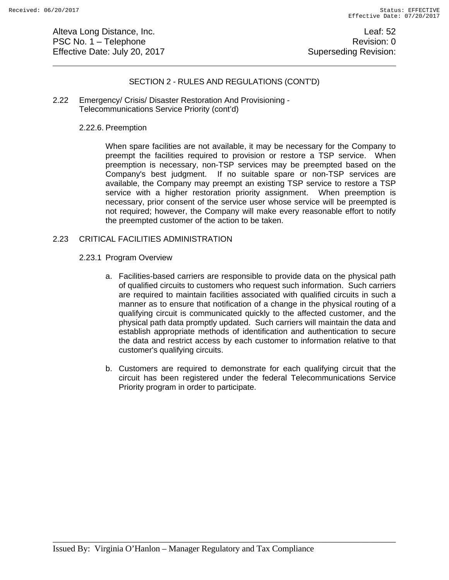Alteva Long Distance, Inc. **Leaf: 52** PSC No. 1 – Telephone Revision: 0 Effective Date: July 20, 2017 **Superseding Revision:** Superseding Revision:

#### SECTION 2 - RULES AND REGULATIONS (CONT'D)

2.22 Emergency/ Crisis/ Disaster Restoration And Provisioning - Telecommunications Service Priority (cont'd)

#### 2.22.6. Preemption

When spare facilities are not available, it may be necessary for the Company to preempt the facilities required to provision or restore a TSP service. When preemption is necessary, non-TSP services may be preempted based on the Company's best judgment. If no suitable spare or non-TSP services are available, the Company may preempt an existing TSP service to restore a TSP service with a higher restoration priority assignment. When preemption is necessary, prior consent of the service user whose service will be preempted is not required; however, the Company will make every reasonable effort to notify the preempted customer of the action to be taken.

#### 2.23 CRITICAL FACILITIES ADMINISTRATION

#### 2.23.1 Program Overview

- a. Facilities-based carriers are responsible to provide data on the physical path of qualified circuits to customers who request such information. Such carriers are required to maintain facilities associated with qualified circuits in such a manner as to ensure that notification of a change in the physical routing of a qualifying circuit is communicated quickly to the affected customer, and the physical path data promptly updated. Such carriers will maintain the data and establish appropriate methods of identification and authentication to secure the data and restrict access by each customer to information relative to that customer's qualifying circuits.
- b. Customers are required to demonstrate for each qualifying circuit that the circuit has been registered under the federal Telecommunications Service Priority program in order to participate.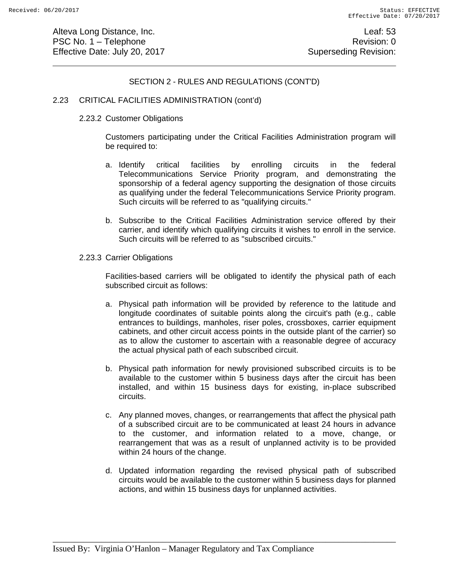Alteva Long Distance, Inc. **Alternative Contract Contract Contract Contract Contract Contract Contract Contract Contract Contract Contract Contract Contract Contract Contract Contract Contract Contract Contract Contract Co** PSC No. 1 – Telephone Revision: 0 Effective Date: July 20, 2017 **Superseding Revision:** Superseding Revision:

#### SECTION 2 - RULES AND REGULATIONS (CONT'D)

#### 2.23 CRITICAL FACILITIES ADMINISTRATION (cont'd)

#### 2.23.2 Customer Obligations

Customers participating under the Critical Facilities Administration program will be required to:

- a. Identify critical facilities by enrolling circuits in the federal Telecommunications Service Priority program, and demonstrating the sponsorship of a federal agency supporting the designation of those circuits as qualifying under the federal Telecommunications Service Priority program. Such circuits will be referred to as "qualifying circuits."
- b. Subscribe to the Critical Facilities Administration service offered by their carrier, and identify which qualifying circuits it wishes to enroll in the service. Such circuits will be referred to as "subscribed circuits."
- 2.23.3 Carrier Obligations

Facilities-based carriers will be obligated to identify the physical path of each subscribed circuit as follows:

- a. Physical path information will be provided by reference to the latitude and longitude coordinates of suitable points along the circuit's path (e.g., cable entrances to buildings, manholes, riser poles, crossboxes, carrier equipment cabinets, and other circuit access points in the outside plant of the carrier) so as to allow the customer to ascertain with a reasonable degree of accuracy the actual physical path of each subscribed circuit.
- b. Physical path information for newly provisioned subscribed circuits is to be available to the customer within 5 business days after the circuit has been installed, and within 15 business days for existing, in-place subscribed circuits.
- c. Any planned moves, changes, or rearrangements that affect the physical path of a subscribed circuit are to be communicated at least 24 hours in advance to the customer, and information related to a move, change, or rearrangement that was as a result of unplanned activity is to be provided within 24 hours of the change.
- d. Updated information regarding the revised physical path of subscribed circuits would be available to the customer within 5 business days for planned actions, and within 15 business days for unplanned activities.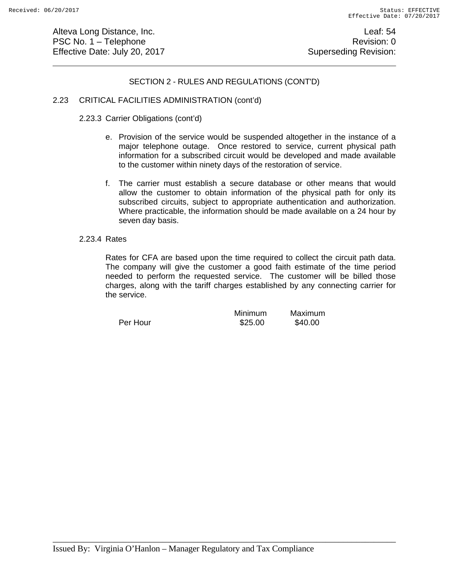Alteva Long Distance, Inc. **Leaf:** 54 PSC No. 1 – Telephone Revision: 0 Effective Date: July 20, 2017 **Superseding Revision:** Superseding Revision:

#### SECTION 2 - RULES AND REGULATIONS (CONT'D)

#### 2.23 CRITICAL FACILITIES ADMINISTRATION (cont'd)

#### 2.23.3 Carrier Obligations (cont'd)

- e. Provision of the service would be suspended altogether in the instance of a major telephone outage. Once restored to service, current physical path information for a subscribed circuit would be developed and made available to the customer within ninety days of the restoration of service.
- f. The carrier must establish a secure database or other means that would allow the customer to obtain information of the physical path for only its subscribed circuits, subject to appropriate authentication and authorization. Where practicable, the information should be made available on a 24 hour by seven day basis.

#### 2.23.4 Rates

Rates for CFA are based upon the time required to collect the circuit path data. The company will give the customer a good faith estimate of the time period needed to perform the requested service. The customer will be billed those charges, along with the tariff charges established by any connecting carrier for the service.

|          | Minimum | Maximum |  |  |
|----------|---------|---------|--|--|
| Per Hour | \$25.00 | \$40.00 |  |  |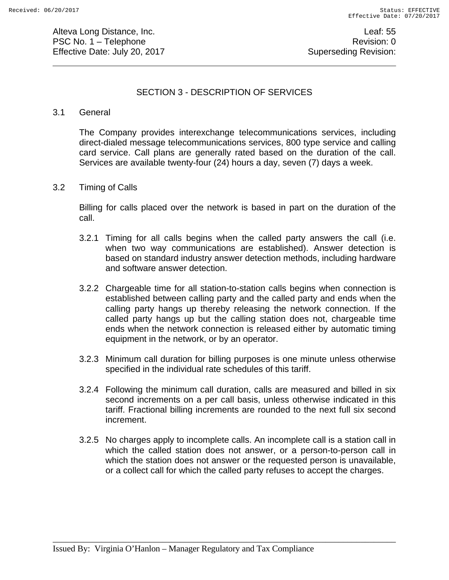Alteva Long Distance, Inc. **Leaf: 55** PSC No. 1 – Telephone Revision: 0 Effective Date: July 20, 2017 **Superseding Revision:** Superseding Revision:

## SECTION 3 - DESCRIPTION OF SERVICES

#### 3.1 General

The Company provides interexchange telecommunications services, including direct-dialed message telecommunications services, 800 type service and calling card service. Call plans are generally rated based on the duration of the call. Services are available twenty-four (24) hours a day, seven (7) days a week.

#### 3.2 Timing of Calls

 Billing for calls placed over the network is based in part on the duration of the call.

- 3.2.1 Timing for all calls begins when the called party answers the call (i.e. when two way communications are established). Answer detection is based on standard industry answer detection methods, including hardware and software answer detection.
- 3.2.2 Chargeable time for all station-to-station calls begins when connection is established between calling party and the called party and ends when the calling party hangs up thereby releasing the network connection. If the called party hangs up but the calling station does not, chargeable time ends when the network connection is released either by automatic timing equipment in the network, or by an operator.
- 3.2.3 Minimum call duration for billing purposes is one minute unless otherwise specified in the individual rate schedules of this tariff.
- 3.2.4 Following the minimum call duration, calls are measured and billed in six second increments on a per call basis, unless otherwise indicated in this tariff. Fractional billing increments are rounded to the next full six second increment.
- 3.2.5 No charges apply to incomplete calls. An incomplete call is a station call in which the called station does not answer, or a person-to-person call in which the station does not answer or the requested person is unavailable, or a collect call for which the called party refuses to accept the charges.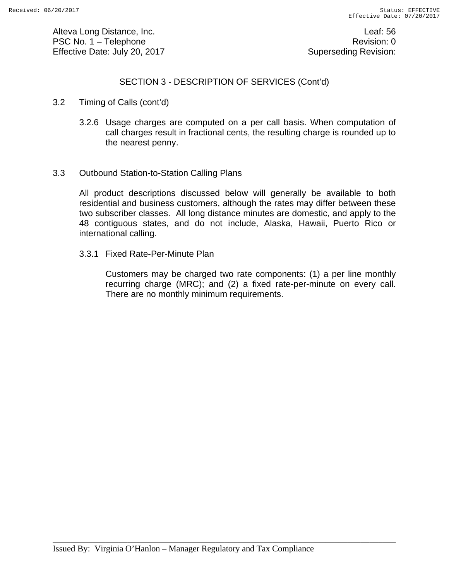Alteva Long Distance, Inc. **Leaf: 56** PSC No. 1 – Telephone Revision: 0 Effective Date: July 20, 2017 **Superseding Revision:** Superseding Revision:

## SECTION 3 - DESCRIPTION OF SERVICES (Cont'd)

- 3.2 Timing of Calls (cont'd)
	- 3.2.6 Usage charges are computed on a per call basis. When computation of call charges result in fractional cents, the resulting charge is rounded up to the nearest penny.
- 3.3 Outbound Station-to-Station Calling Plans

All product descriptions discussed below will generally be available to both residential and business customers, although the rates may differ between these two subscriber classes. All long distance minutes are domestic, and apply to the 48 contiguous states, and do not include, Alaska, Hawaii, Puerto Rico or international calling.

3.3.1 Fixed Rate-Per-Minute Plan

Customers may be charged two rate components: (1) a per line monthly recurring charge (MRC); and (2) a fixed rate-per-minute on every call. There are no monthly minimum requirements.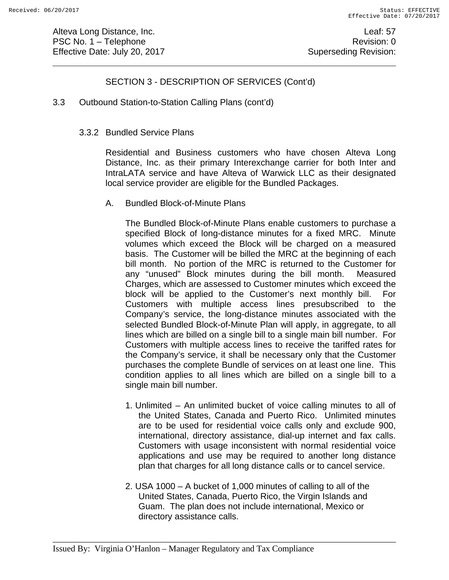Alteva Long Distance, Inc. **Leaf:** 57 PSC No. 1 – Telephone Revision: 0 Effective Date: July 20, 2017 **Superseding Revision:** Superseding Revision:

# SECTION 3 - DESCRIPTION OF SERVICES (Cont'd)

3.3 Outbound Station-to-Station Calling Plans (cont'd)

#### 3.3.2 Bundled Service Plans

Residential and Business customers who have chosen Alteva Long Distance, Inc. as their primary Interexchange carrier for both Inter and IntraLATA service and have Alteva of Warwick LLC as their designated local service provider are eligible for the Bundled Packages.

A. Bundled Block-of-Minute Plans

The Bundled Block-of-Minute Plans enable customers to purchase a specified Block of long-distance minutes for a fixed MRC. Minute volumes which exceed the Block will be charged on a measured basis. The Customer will be billed the MRC at the beginning of each bill month. No portion of the MRC is returned to the Customer for any "unused" Block minutes during the bill month. Measured Charges, which are assessed to Customer minutes which exceed the block will be applied to the Customer's next monthly bill. For Customers with multiple access lines presubscribed to the Company's service, the long-distance minutes associated with the selected Bundled Block-of-Minute Plan will apply, in aggregate, to all lines which are billed on a single bill to a single main bill number. For Customers with multiple access lines to receive the tariffed rates for the Company's service, it shall be necessary only that the Customer purchases the complete Bundle of services on at least one line. This condition applies to all lines which are billed on a single bill to a single main bill number.

- 1. Unlimited An unlimited bucket of voice calling minutes to all of the United States, Canada and Puerto Rico. Unlimited minutes are to be used for residential voice calls only and exclude 900, international, directory assistance, dial-up internet and fax calls. Customers with usage inconsistent with normal residential voice applications and use may be required to another long distance plan that charges for all long distance calls or to cancel service.
- 2. USA 1000 A bucket of 1,000 minutes of calling to all of the United States, Canada, Puerto Rico, the Virgin Islands and Guam. The plan does not include international, Mexico or directory assistance calls.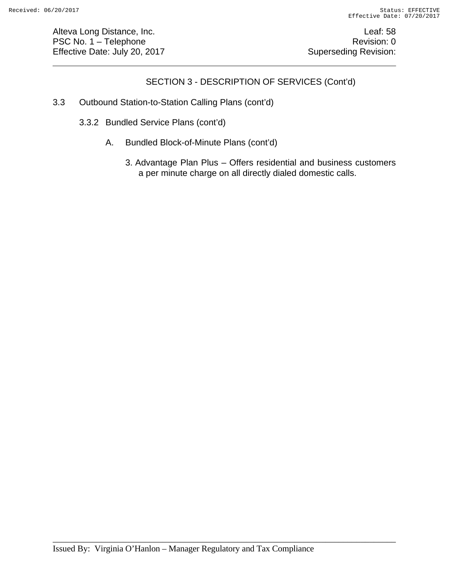Alteva Long Distance, Inc. **Leaf:** 58 PSC No. 1 – Telephone Revision: 0 Effective Date: July 20, 2017 **Superseding Revision:** Superseding Revision:

# SECTION 3 - DESCRIPTION OF SERVICES (Cont'd)

- 3.3 Outbound Station-to-Station Calling Plans (cont'd)
	- 3.3.2 Bundled Service Plans (cont'd)
		- A. Bundled Block-of-Minute Plans (cont'd)
			- 3. Advantage Plan Plus Offers residential and business customers a per minute charge on all directly dialed domestic calls.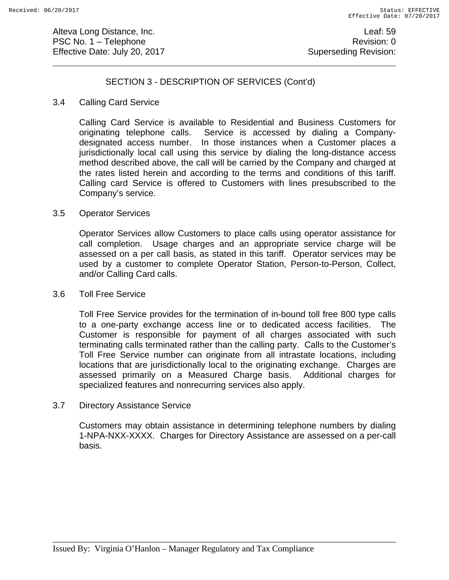Alteva Long Distance, Inc. **Leaf:** 59 PSC No. 1 – Telephone Revision: 0 Effective Date: July 20, 2017 **Superseding Revision:** Superseding Revision:

# SECTION 3 - DESCRIPTION OF SERVICES (Cont'd)

#### 3.4 Calling Card Service

Calling Card Service is available to Residential and Business Customers for originating telephone calls. Service is accessed by dialing a Companydesignated access number. In those instances when a Customer places a jurisdictionally local call using this service by dialing the long-distance access method described above, the call will be carried by the Company and charged at the rates listed herein and according to the terms and conditions of this tariff. Calling card Service is offered to Customers with lines presubscribed to the Company's service.

#### 3.5 Operator Services

Operator Services allow Customers to place calls using operator assistance for call completion. Usage charges and an appropriate service charge will be assessed on a per call basis, as stated in this tariff. Operator services may be used by a customer to complete Operator Station, Person-to-Person, Collect, and/or Calling Card calls.

#### 3.6 Toll Free Service

Toll Free Service provides for the termination of in-bound toll free 800 type calls to a one-party exchange access line or to dedicated access facilities. The Customer is responsible for payment of all charges associated with such terminating calls terminated rather than the calling party. Calls to the Customer's Toll Free Service number can originate from all intrastate locations, including locations that are jurisdictionally local to the originating exchange. Charges are assessed primarily on a Measured Charge basis. Additional charges for specialized features and nonrecurring services also apply.

#### 3.7 Directory Assistance Service

Customers may obtain assistance in determining telephone numbers by dialing 1-NPA-NXX-XXXX. Charges for Directory Assistance are assessed on a per-call basis.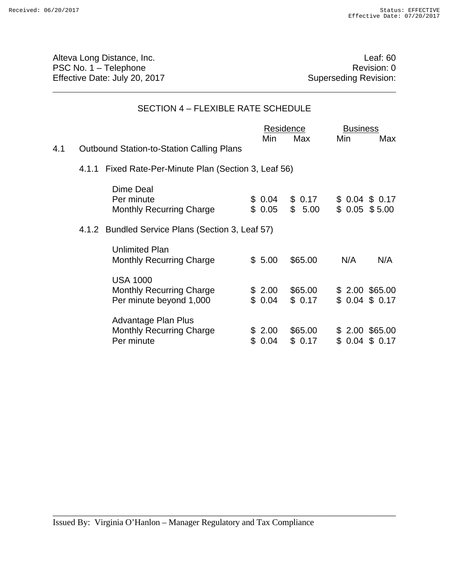Alteva Long Distance, Inc. **Alternative Contract Contract Contract Contract Contract Contract Contract Contract Contract Contract Contract Contract Contract Contract Contract Contract Contract Contract Contract Contract Co** PSC No. 1 – Telephone<br>
Effective Date: July 20, 2017<br>
Caperseding Revision: 0 Effective Date: July 20, 2017

# SECTION 4 – FLEXIBLE RATE SCHEDULE

|     |                                                                               |     | Residence        |                   | <b>Business</b> |                                 |  |
|-----|-------------------------------------------------------------------------------|-----|------------------|-------------------|-----------------|---------------------------------|--|
|     |                                                                               |     | Min              | Max               | Min             | Max                             |  |
| 4.1 | <b>Outbound Station-to-Station Calling Plans</b>                              |     |                  |                   |                 |                                 |  |
|     | 4.1.1 Fixed Rate-Per-Minute Plan (Section 3, Leaf 56)                         |     |                  |                   |                 |                                 |  |
|     | Dime Deal<br>Per minute<br><b>Monthly Recurring Charge</b>                    |     | \$0.04<br>\$0.05 | \$0.17<br>\$5.00  |                 | \$0.04\$0.17<br>$$0.05$ $$5.00$ |  |
|     | 4.1.2 Bundled Service Plans (Section 3, Leaf 57)                              |     |                  |                   |                 |                                 |  |
|     | <b>Unlimited Plan</b><br><b>Monthly Recurring Charge</b>                      |     | \$5.00           | \$65.00           | N/A             | N/A                             |  |
|     | <b>USA 1000</b><br><b>Monthly Recurring Charge</b><br>Per minute beyond 1,000 |     | \$2.00<br>\$0.04 | \$65.00<br>\$0.17 |                 | \$2.00 \$65.00<br>\$0.04\$0.17  |  |
|     | <b>Advantage Plan Plus</b><br><b>Monthly Recurring Charge</b><br>Per minute   | \$. | \$2.00<br>0.04   | \$65.00<br>\$0.17 |                 | $$2.00$ \$65.00<br>\$0.04\$0.17 |  |